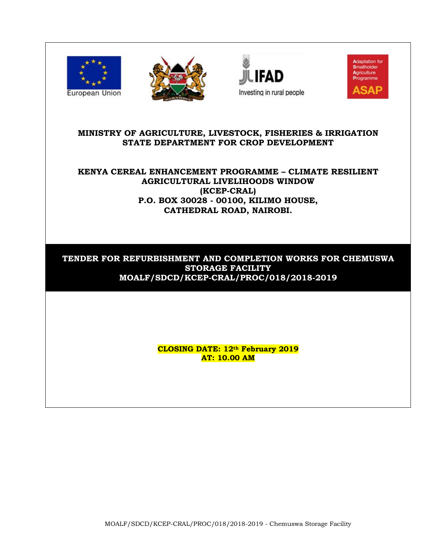







# **MINISTRY OF AGRICULTURE, LIVESTOCK, FISHERIES & IRRIGATION STATE DEPARTMENT FOR CROP DEVELOPMENT**

# **KENYA CEREAL ENHANCEMENT PROGRAMME – CLIMATE RESILIENT AGRICULTURAL LIVELIHOODS WINDOW (KCEP-CRAL) P.O. BOX 30028 - 00100, KILIMO HOUSE, CATHEDRAL ROAD, NAIROBI.**

# **TENDER FOR REFURBISHMENT AND COMPLETION WORKS FOR CHEMUSWA STORAGE FACILITY MOALF/SDCD/KCEP-CRAL/PROC/018/2018-2019**

**CLOSING DATE: 12th February 2019 AT: 10.00 AM**

MOALF/SDCD/KCEP-CRAL/PROC/018/2018-2019 - Chemuswa Storage Facility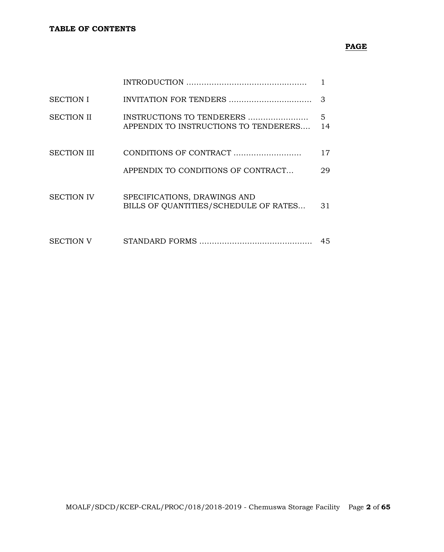# **PAGE**

| <b>SECTION I</b>   |                                                                       | 3       |
|--------------------|-----------------------------------------------------------------------|---------|
| <b>SECTION II</b>  | INSTRUCTIONS TO TENDERERS<br>APPENDIX TO INSTRUCTIONS TO TENDERERS    | 5<br>14 |
| <b>SECTION III</b> | CONDITIONS OF CONTRACT                                                | 17      |
|                    | APPENDIX TO CONDITIONS OF CONTRACT                                    | 29      |
| <b>SECTION IV</b>  | SPECIFICATIONS, DRAWINGS AND<br>BILLS OF QUANTITIES/SCHEDULE OF RATES | 31      |
| <b>SECTION V</b>   |                                                                       | 45      |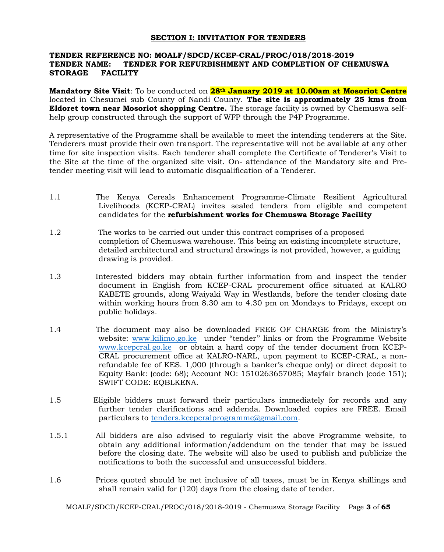### **SECTION I: INVITATION FOR TENDERS**

### **TENDER REFERENCE NO: MOALF/SDCD/KCEP-CRAL/PROC/018/2018-2019 TENDER NAME: TENDER FOR REFURBISHMENT AND COMPLETION OF CHEMUSWA STORAGE FACILITY**

**Mandatory Site Visit**: To be conducted on **28th January 2019 at 10.00am at Mosoriot Centre** located in Chesumei sub County of Nandi County. **The site is approximately 25 kms from Eldoret town near Mosoriot shopping Centre.** The storage facility is owned by Chemuswa selfhelp group constructed through the support of WFP through the P4P Programme.

A representative of the Programme shall be available to meet the intending tenderers at the Site. Tenderers must provide their own transport. The representative will not be available at any other time for site inspection visits. Each tenderer shall complete the Certificate of Tenderer's Visit to the Site at the time of the organized site visit. On- attendance of the Mandatory site and Pretender meeting visit will lead to automatic disqualification of a Tenderer.

- 1.1 The Kenya Cereals Enhancement Programme-Climate Resilient Agricultural Livelihoods (KCEP-CRAL) invites sealed tenders from eligible and competent candidates for the **refurbishment works for Chemuswa Storage Facility**
- 1.2 The works to be carried out under this contract comprises of a proposed completion of Chemuswa warehouse. This being an existing incomplete structure, detailed architectural and structural drawings is not provided, however, a guiding drawing is provided.
- 1.3 Interested bidders may obtain further information from and inspect the tender document in English from KCEP-CRAL procurement office situated at KALRO KABETE grounds, along Waiyaki Way in Westlands, before the tender closing date within working hours from 8.30 am to 4.30 pm on Mondays to Fridays, except on public holidays.
- 1.4 The document may also be downloaded FREE OF CHARGE from the Ministry's website: [www.kilimo.go.ke](http://www.kilimo.go.ke/) under "tender" links or from the Programme Website [www.kcepcral.go.ke](http://www.kcepcral.go.ke/) or obtain a hard copy of the tender document from KCEP-CRAL procurement office at KALRO-NARL, upon payment to KCEP-CRAL, a nonrefundable fee of KES. 1,000 (through a banker's cheque only) or direct deposit to Equity Bank: (code: 68); Account NO: 1510263657085; Mayfair branch (code 151); SWIFT CODE: EQBLKENA.
- 1.5 Eligible bidders must forward their particulars immediately for records and any further tender clarifications and addenda. Downloaded copies are FREE. Email particulars to [tenders.kcepcralprogramme@gmail.com.](mailto:tenders.kcepcralprogramme@gmail.com)
- 1.5.1 All bidders are also advised to regularly visit the above Programme website, to obtain any additional information/addendum on the tender that may be issued before the closing date. The website will also be used to publish and publicize the notifications to both the successful and unsuccessful bidders.
- 1.6 Prices quoted should be net inclusive of all taxes, must be in Kenya shillings and shall remain valid for (120) days from the closing date of tender.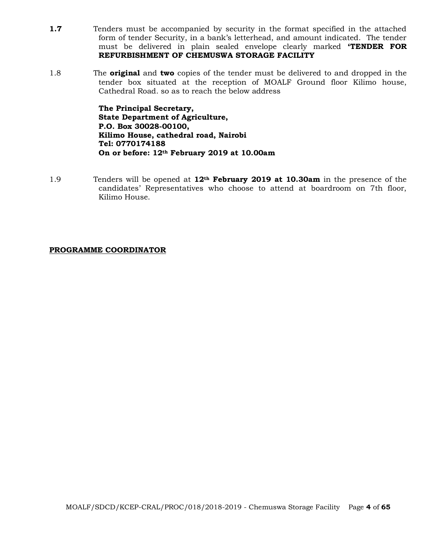- **1.7** Tenders must be accompanied by security in the format specified in the attached form of tender Security, in a bank's letterhead, and amount indicated. The tender must be delivered in plain sealed envelope clearly marked **'TENDER FOR REFURBISHMENT OF CHEMUSWA STORAGE FACILITY**
- 1.8 The **original** and **two** copies of the tender must be delivered to and dropped in the tender box situated at the reception of MOALF Ground floor Kilimo house, Cathedral Road. so as to reach the below address

**The Principal Secretary, State Department of Agriculture, P.O. Box 30028-00100, Kilimo House, cathedral road, Nairobi Tel: 0770174188 On or before: 12th February 2019 at 10.00am**

1.9 Tenders will be opened at **12th February 2019 at 10.30am** in the presence of the candidates' Representatives who choose to attend at boardroom on 7th floor, Kilimo House.

### **PROGRAMME COORDINATOR**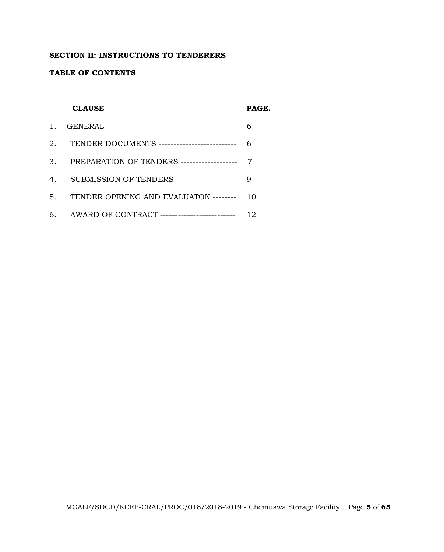### **SECTION II: INSTRUCTIONS TO TENDERERS**

### **TABLE OF CONTENTS**

### **CLAUSE PAGE.**

| 2. TENDER DOCUMENTS ----------------------------- 6 |    |
|-----------------------------------------------------|----|
| 3. PREPARATION OF TENDERS -------------------- 7    |    |
| 4. SUBMISSION OF TENDERS --------------------- 9    |    |
| 5. TENDER OPENING AND EVALUATON -------- 10         |    |
| 6. AWARD OF CONTRACT ---------------------------    | 12 |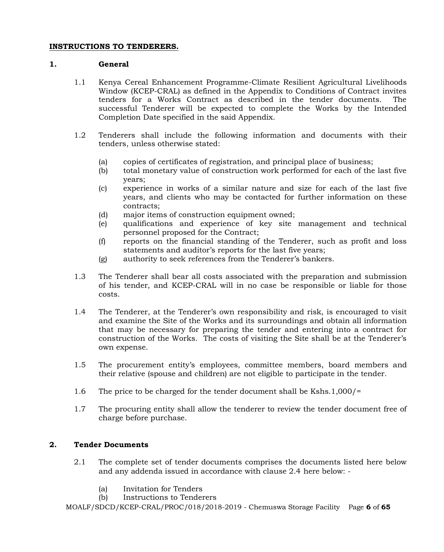### **INSTRUCTIONS TO TENDERERS.**

### **1. General**

- 1.1 Kenya Cereal Enhancement Programme-Climate Resilient Agricultural Livelihoods Window (KCEP-CRAL) as defined in the Appendix to Conditions of Contract invites tenders for a Works Contract as described in the tender documents. The successful Tenderer will be expected to complete the Works by the Intended Completion Date specified in the said Appendix.
- 1.2 Tenderers shall include the following information and documents with their tenders, unless otherwise stated:
	- (a) copies of certificates of registration, and principal place of business;
	- (b) total monetary value of construction work performed for each of the last five years;
	- (c) experience in works of a similar nature and size for each of the last five years, and clients who may be contacted for further information on these contracts;
	- (d) major items of construction equipment owned;
	- (e) qualifications and experience of key site management and technical personnel proposed for the Contract;
	- (f) reports on the financial standing of the Tenderer, such as profit and loss statements and auditor's reports for the last five years;
	- (g) authority to seek references from the Tenderer's bankers.
- 1.3 The Tenderer shall bear all costs associated with the preparation and submission of his tender, and KCEP-CRAL will in no case be responsible or liable for those costs.
- 1.4 The Tenderer, at the Tenderer's own responsibility and risk, is encouraged to visit and examine the Site of the Works and its surroundings and obtain all information that may be necessary for preparing the tender and entering into a contract for construction of the Works. The costs of visiting the Site shall be at the Tenderer's own expense.
- 1.5 The procurement entity's employees, committee members, board members and their relative (spouse and children) are not eligible to participate in the tender.
- 1.6 The price to be charged for the tender document shall be Kshs.1,000/=
- 1.7 The procuring entity shall allow the tenderer to review the tender document free of charge before purchase.

# **2. Tender Documents**

- 2.1 The complete set of tender documents comprises the documents listed here below and any addenda issued in accordance with clause 2.4 here below: -
	- (a) Invitation for Tenders
	- (b) Instructions to Tenderers

MOALF/SDCD/KCEP-CRAL/PROC/018/2018-2019 - Chemuswa Storage Facility Page **6** of **65**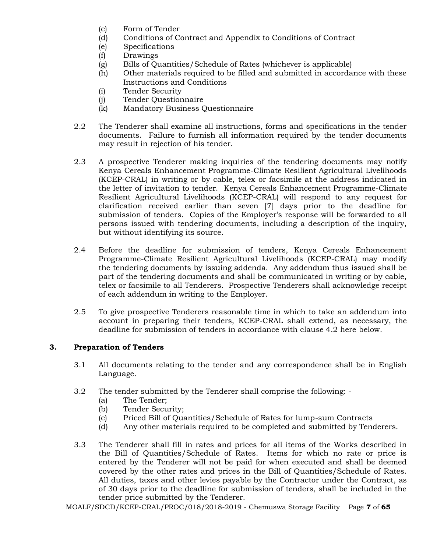- (c) Form of Tender
- (d) Conditions of Contract and Appendix to Conditions of Contract
- (e) Specifications
- (f) Drawings
- (g) Bills of Quantities/Schedule of Rates (whichever is applicable)
- (h) Other materials required to be filled and submitted in accordance with these Instructions and Conditions
- (i) Tender Security
- (j) Tender Questionnaire
- (k) Mandatory Business Questionnaire
- 2.2 The Tenderer shall examine all instructions, forms and specifications in the tender documents. Failure to furnish all information required by the tender documents may result in rejection of his tender.
- 2.3 A prospective Tenderer making inquiries of the tendering documents may notify Kenya Cereals Enhancement Programme-Climate Resilient Agricultural Livelihoods (KCEP-CRAL) in writing or by cable, telex or facsimile at the address indicated in the letter of invitation to tender. Kenya Cereals Enhancement Programme-Climate Resilient Agricultural Livelihoods (KCEP-CRAL) will respond to any request for clarification received earlier than seven [7] days prior to the deadline for submission of tenders. Copies of the Employer's response will be forwarded to all persons issued with tendering documents, including a description of the inquiry, but without identifying its source.
- 2.4 Before the deadline for submission of tenders, Kenya Cereals Enhancement Programme-Climate Resilient Agricultural Livelihoods (KCEP-CRAL) may modify the tendering documents by issuing addenda. Any addendum thus issued shall be part of the tendering documents and shall be communicated in writing or by cable, telex or facsimile to all Tenderers. Prospective Tenderers shall acknowledge receipt of each addendum in writing to the Employer.
- 2.5 To give prospective Tenderers reasonable time in which to take an addendum into account in preparing their tenders, KCEP-CRAL shall extend, as necessary, the deadline for submission of tenders in accordance with clause 4.2 here below.

# **3. Preparation of Tenders**

- 3.1 All documents relating to the tender and any correspondence shall be in English Language.
- 3.2 The tender submitted by the Tenderer shall comprise the following:
	- (a) The Tender;
	- (b) Tender Security;
	- (c) Priced Bill of Quantities/Schedule of Rates for lump-sum Contracts
	- (d) Any other materials required to be completed and submitted by Tenderers.
- 3.3 The Tenderer shall fill in rates and prices for all items of the Works described in the Bill of Quantities/Schedule of Rates. Items for which no rate or price is entered by the Tenderer will not be paid for when executed and shall be deemed covered by the other rates and prices in the Bill of Quantities/Schedule of Rates. All duties, taxes and other levies payable by the Contractor under the Contract, as of 30 days prior to the deadline for submission of tenders, shall be included in the tender price submitted by the Tenderer.

MOALF/SDCD/KCEP-CRAL/PROC/018/2018-2019 - Chemuswa Storage Facility Page **7** of **65**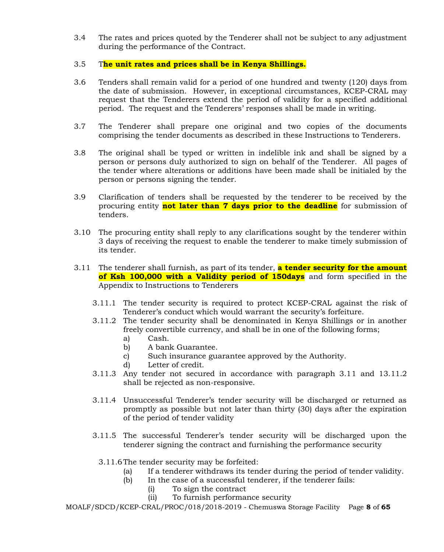- 3.4 The rates and prices quoted by the Tenderer shall not be subject to any adjustment during the performance of the Contract.
- 3.5 T**he unit rates and prices shall be in Kenya Shillings.**
- 3.6 Tenders shall remain valid for a period of one hundred and twenty (120) days from the date of submission. However, in exceptional circumstances, KCEP-CRAL may request that the Tenderers extend the period of validity for a specified additional period. The request and the Tenderers' responses shall be made in writing.
- 3.7 The Tenderer shall prepare one original and two copies of the documents comprising the tender documents as described in these Instructions to Tenderers.
- 3.8 The original shall be typed or written in indelible ink and shall be signed by a person or persons duly authorized to sign on behalf of the Tenderer. All pages of the tender where alterations or additions have been made shall be initialed by the person or persons signing the tender.
- 3.9 Clarification of tenders shall be requested by the tenderer to be received by the procuring entity **not later than 7 days prior to the deadline** for submission of tenders.
- 3.10 The procuring entity shall reply to any clarifications sought by the tenderer within 3 days of receiving the request to enable the tenderer to make timely submission of its tender.
- 3.11 The tenderer shall furnish, as part of its tender, **a tender security for the amount of Ksh 100,000 with a Validity period of 150days** and form specified in the Appendix to Instructions to Tenderers
	- 3.11.1 The tender security is required to protect KCEP-CRAL against the risk of Tenderer's conduct which would warrant the security's forfeiture.
	- 3.11.2 The tender security shall be denominated in Kenya Shillings or in another freely convertible currency, and shall be in one of the following forms;
		- a) Cash.
		- b) A bank Guarantee.
		- c) Such insurance guarantee approved by the Authority.
		- d) Letter of credit.
	- 3.11.3 Any tender not secured in accordance with paragraph 3.11 and 13.11.2 shall be rejected as non-responsive.
	- 3.11.4 Unsuccessful Tenderer's tender security will be discharged or returned as promptly as possible but not later than thirty (30) days after the expiration of the period of tender validity
	- 3.11.5 The successful Tenderer's tender security will be discharged upon the tenderer signing the contract and furnishing the performance security
		- 3.11.6The tender security may be forfeited:
			- (a) If a tenderer withdraws its tender during the period of tender validity.
			- (b) In the case of a successful tenderer, if the tenderer fails:
				- (i) To sign the contract
				- (ii) To furnish performance security

MOALF/SDCD/KCEP-CRAL/PROC/018/2018-2019 - Chemuswa Storage Facility Page **8** of **65**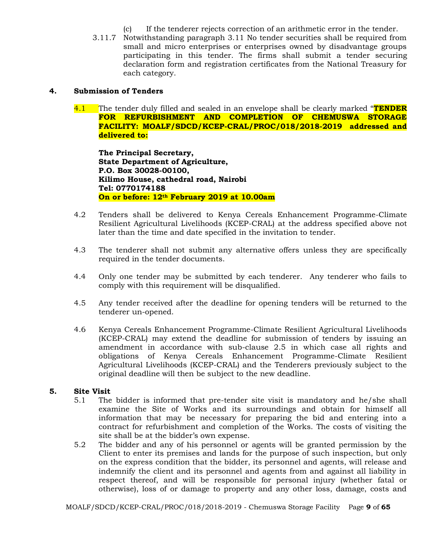- (c) If the tenderer rejects correction of an arithmetic error in the tender.
- 3.11.7 Notwithstanding paragraph 3.11 No tender securities shall be required from small and micro enterprises or enterprises owned by disadvantage groups participating in this tender. The firms shall submit a tender securing declaration form and registration certificates from the National Treasury for each category.

### **4. Submission of Tenders**

4.1 The tender duly filled and sealed in an envelope shall be clearly marked "**TENDER FOR REFURBISHMENT AND COMPLETION OF CHEMUSWA STORAGE FACILITY: MOALF/SDCD/KCEP-CRAL/PROC/018/2018-2019 addressed and delivered to:**

**The Principal Secretary, State Department of Agriculture, P.O. Box 30028-00100, Kilimo House, cathedral road, Nairobi Tel: 0770174188 On or before: 12th February 2019 at 10.00am**

- 4.2 Tenders shall be delivered to Kenya Cereals Enhancement Programme-Climate Resilient Agricultural Livelihoods (KCEP-CRAL) at the address specified above not later than the time and date specified in the invitation to tender.
- 4.3 The tenderer shall not submit any alternative offers unless they are specifically required in the tender documents.
- 4.4 Only one tender may be submitted by each tenderer. Any tenderer who fails to comply with this requirement will be disqualified.
- 4.5 Any tender received after the deadline for opening tenders will be returned to the tenderer un-opened.
- 4.6 Kenya Cereals Enhancement Programme-Climate Resilient Agricultural Livelihoods (KCEP-CRAL) may extend the deadline for submission of tenders by issuing an amendment in accordance with sub-clause 2.5 in which case all rights and obligations of Kenya Cereals Enhancement Programme-Climate Resilient Agricultural Livelihoods (KCEP-CRAL) and the Tenderers previously subject to the original deadline will then be subject to the new deadline.

### **5. Site Visit**

- 5.1 The bidder is informed that pre-tender site visit is mandatory and he/she shall examine the Site of Works and its surroundings and obtain for himself all information that may be necessary for preparing the bid and entering into a contract for refurbishment and completion of the Works. The costs of visiting the site shall be at the bidder's own expense.
- 5.2 The bidder and any of his personnel or agents will be granted permission by the Client to enter its premises and lands for the purpose of such inspection, but only on the express condition that the bidder, its personnel and agents, will release and indemnify the client and its personnel and agents from and against all liability in respect thereof, and will be responsible for personal injury (whether fatal or otherwise), loss of or damage to property and any other loss, damage, costs and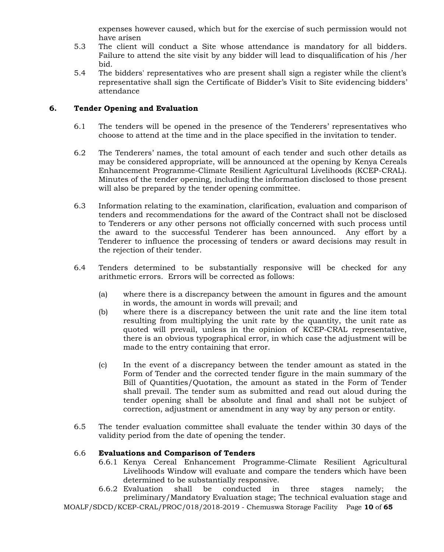expenses however caused, which but for the exercise of such permission would not have arisen

- 5.3 The client will conduct a Site whose attendance is mandatory for all bidders. Failure to attend the site visit by any bidder will lead to disqualification of his /her bid.
- 5.4 The bidders' representatives who are present shall sign a register while the client's representative shall sign the Certificate of Bidder's Visit to Site evidencing bidders' attendance

# **6. Tender Opening and Evaluation**

- 6.1 The tenders will be opened in the presence of the Tenderers' representatives who choose to attend at the time and in the place specified in the invitation to tender.
- 6.2 The Tenderers' names, the total amount of each tender and such other details as may be considered appropriate, will be announced at the opening by Kenya Cereals Enhancement Programme-Climate Resilient Agricultural Livelihoods (KCEP-CRAL). Minutes of the tender opening, including the information disclosed to those present will also be prepared by the tender opening committee.
- 6.3 Information relating to the examination, clarification, evaluation and comparison of tenders and recommendations for the award of the Contract shall not be disclosed to Tenderers or any other persons not officially concerned with such process until the award to the successful Tenderer has been announced. Any effort by a Tenderer to influence the processing of tenders or award decisions may result in the rejection of their tender.
- 6.4 Tenders determined to be substantially responsive will be checked for any arithmetic errors. Errors will be corrected as follows:
	- (a) where there is a discrepancy between the amount in figures and the amount in words, the amount in words will prevail; and
	- (b) where there is a discrepancy between the unit rate and the line item total resulting from multiplying the unit rate by the quantity, the unit rate as quoted will prevail, unless in the opinion of KCEP-CRAL representative, there is an obvious typographical error, in which case the adjustment will be made to the entry containing that error.
	- (c) In the event of a discrepancy between the tender amount as stated in the Form of Tender and the corrected tender figure in the main summary of the Bill of Quantities/Quotation, the amount as stated in the Form of Tender shall prevail. The tender sum as submitted and read out aloud during the tender opening shall be absolute and final and shall not be subject of correction, adjustment or amendment in any way by any person or entity.
- 6.5 The tender evaluation committee shall evaluate the tender within 30 days of the validity period from the date of opening the tender.

### 6.6 **Evaluations and Comparison of Tenders**

- 6.6.1 Kenya Cereal Enhancement Programme-Climate Resilient Agricultural Livelihoods Window will evaluate and compare the tenders which have been determined to be substantially responsive.
- 6.6.2 Evaluation shall be conducted in three stages namely; the preliminary/Mandatory Evaluation stage; The technical evaluation stage and

MOALF/SDCD/KCEP-CRAL/PROC/018/2018-2019 - Chemuswa Storage Facility Page **10** of **65**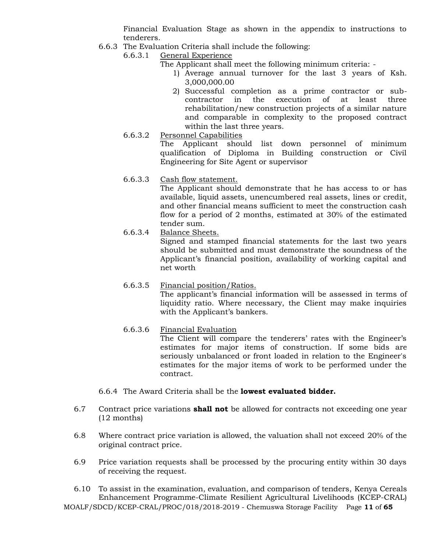Financial Evaluation Stage as shown in the appendix to instructions to tenderers.

- 6.6.3 The Evaluation Criteria shall include the following:
	- 6.6.3.1 General Experience
		- The Applicant shall meet the following minimum criteria:
			- 1) Average annual turnover for the last 3 years of Ksh. 3,000,000.00
			- 2) Successful completion as a prime contractor or subcontractor in the execution of at least three rehabilitation/new construction projects of a similar nature and comparable in complexity to the proposed contract within the last three years.
	- 6.6.3.2 Personnel Capabilities The Applicant should list down personnel of minimum

qualification of Diploma in Building construction or Civil Engineering for Site Agent or supervisor

6.6.3.3 Cash flow statement.

The Applicant should demonstrate that he has access to or has available, liquid assets, unencumbered real assets, lines or credit, and other financial means sufficient to meet the construction cash flow for a period of 2 months, estimated at 30% of the estimated tender sum.

6.6.3.4 Balance Sheets.

Signed and stamped financial statements for the last two years should be submitted and must demonstrate the soundness of the Applicant's financial position, availability of working capital and net worth

# 6.6.3.5 Financial position/Ratios.

The applicant's financial information will be assessed in terms of liquidity ratio. Where necessary, the Client may make inquiries with the Applicant's bankers.

# 6.6.3.6 Financial Evaluation

The Client will compare the tenderers' rates with the Engineer's estimates for major items of construction. If some bids are seriously unbalanced or front loaded in relation to the Engineer's estimates for the major items of work to be performed under the contract.

- 6.6.4 The Award Criteria shall be the **lowest evaluated bidder.**
- 6.7 Contract price variations **shall not** be allowed for contracts not exceeding one year (12 months)
- 6.8 Where contract price variation is allowed, the valuation shall not exceed 20% of the original contract price.
- 6.9 Price variation requests shall be processed by the procuring entity within 30 days of receiving the request.

MOALF/SDCD/KCEP-CRAL/PROC/018/2018-2019 - Chemuswa Storage Facility Page **11** of **65** 6.10 To assist in the examination, evaluation, and comparison of tenders, Kenya Cereals Enhancement Programme-Climate Resilient Agricultural Livelihoods (KCEP-CRAL)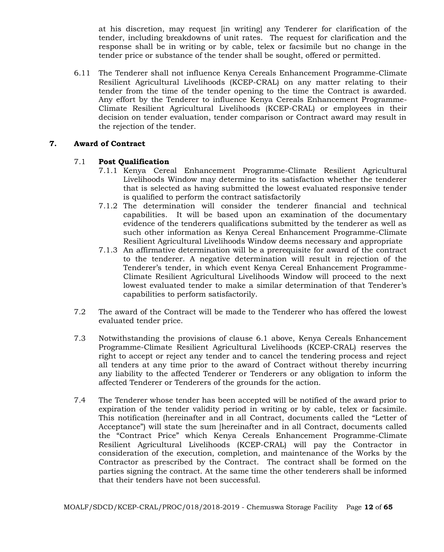at his discretion, may request [in writing] any Tenderer for clarification of the tender, including breakdowns of unit rates. The request for clarification and the response shall be in writing or by cable, telex or facsimile but no change in the tender price or substance of the tender shall be sought, offered or permitted.

6.11 The Tenderer shall not influence Kenya Cereals Enhancement Programme-Climate Resilient Agricultural Livelihoods (KCEP-CRAL) on any matter relating to their tender from the time of the tender opening to the time the Contract is awarded. Any effort by the Tenderer to influence Kenya Cereals Enhancement Programme-Climate Resilient Agricultural Livelihoods (KCEP-CRAL) or employees in their decision on tender evaluation, tender comparison or Contract award may result in the rejection of the tender.

# **7. Award of Contract**

# 7.1 **Post Qualification**

- 7.1.1 Kenya Cereal Enhancement Programme-Climate Resilient Agricultural Livelihoods Window may determine to its satisfaction whether the tenderer that is selected as having submitted the lowest evaluated responsive tender is qualified to perform the contract satisfactorily
- 7.1.2 The determination will consider the tenderer financial and technical capabilities. It will be based upon an examination of the documentary evidence of the tenderers qualifications submitted by the tenderer as well as such other information as Kenya Cereal Enhancement Programme-Climate Resilient Agricultural Livelihoods Window deems necessary and appropriate
- 7.1.3 An affirmative determination will be a prerequisite for award of the contract to the tenderer. A negative determination will result in rejection of the Tenderer's tender, in which event Kenya Cereal Enhancement Programme-Climate Resilient Agricultural Livelihoods Window will proceed to the next lowest evaluated tender to make a similar determination of that Tenderer's capabilities to perform satisfactorily.
- 7.2 The award of the Contract will be made to the Tenderer who has offered the lowest evaluated tender price.
- 7.3 Notwithstanding the provisions of clause 6.1 above, Kenya Cereals Enhancement Programme-Climate Resilient Agricultural Livelihoods (KCEP-CRAL) reserves the right to accept or reject any tender and to cancel the tendering process and reject all tenders at any time prior to the award of Contract without thereby incurring any liability to the affected Tenderer or Tenderers or any obligation to inform the affected Tenderer or Tenderers of the grounds for the action.
- 7.4 The Tenderer whose tender has been accepted will be notified of the award prior to expiration of the tender validity period in writing or by cable, telex or facsimile. This notification (hereinafter and in all Contract, documents called the "Letter of Acceptance") will state the sum [hereinafter and in all Contract, documents called the "Contract Price" which Kenya Cereals Enhancement Programme-Climate Resilient Agricultural Livelihoods (KCEP-CRAL) will pay the Contractor in consideration of the execution, completion, and maintenance of the Works by the Contractor as prescribed by the Contract. The contract shall be formed on the parties signing the contract. At the same time the other tenderers shall be informed that their tenders have not been successful.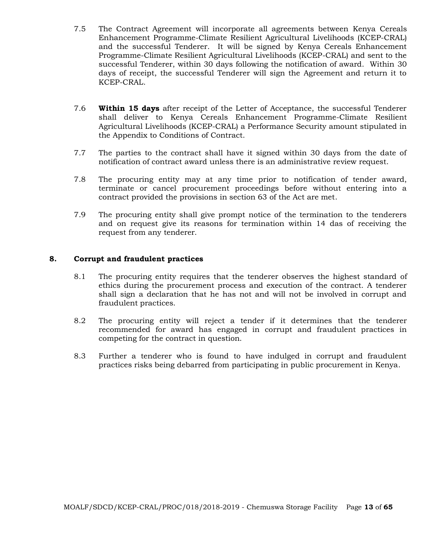- 7.5 The Contract Agreement will incorporate all agreements between Kenya Cereals Enhancement Programme-Climate Resilient Agricultural Livelihoods (KCEP-CRAL) and the successful Tenderer. It will be signed by Kenya Cereals Enhancement Programme-Climate Resilient Agricultural Livelihoods (KCEP-CRAL) and sent to the successful Tenderer, within 30 days following the notification of award. Within 30 days of receipt, the successful Tenderer will sign the Agreement and return it to KCEP-CRAL.
- 7.6 **Within 15 days** after receipt of the Letter of Acceptance, the successful Tenderer shall deliver to Kenya Cereals Enhancement Programme-Climate Resilient Agricultural Livelihoods (KCEP-CRAL) a Performance Security amount stipulated in the Appendix to Conditions of Contract.
- 7.7 The parties to the contract shall have it signed within 30 days from the date of notification of contract award unless there is an administrative review request.
- 7.8 The procuring entity may at any time prior to notification of tender award, terminate or cancel procurement proceedings before without entering into a contract provided the provisions in section 63 of the Act are met.
- 7.9 The procuring entity shall give prompt notice of the termination to the tenderers and on request give its reasons for termination within 14 das of receiving the request from any tenderer.

### **8. Corrupt and fraudulent practices**

- 8.1 The procuring entity requires that the tenderer observes the highest standard of ethics during the procurement process and execution of the contract. A tenderer shall sign a declaration that he has not and will not be involved in corrupt and fraudulent practices.
- 8.2 The procuring entity will reject a tender if it determines that the tenderer recommended for award has engaged in corrupt and fraudulent practices in competing for the contract in question.
- 8.3 Further a tenderer who is found to have indulged in corrupt and fraudulent practices risks being debarred from participating in public procurement in Kenya.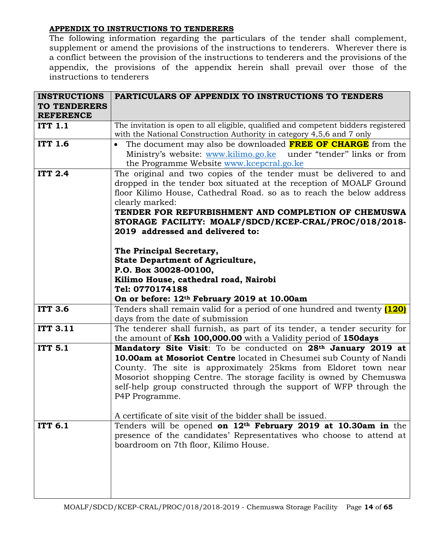# **APPENDIX TO INSTRUCTIONS TO TENDERERS**

The following information regarding the particulars of the tender shall complement, supplement or amend the provisions of the instructions to tenderers. Wherever there is a conflict between the provision of the instructions to tenderers and the provisions of the appendix, the provisions of the appendix herein shall prevail over those of the instructions to tenderers

| <b>INSTRUCTIONS</b> | PARTICULARS OF APPENDIX TO INSTRUCTIONS TO TENDERS                                                                              |
|---------------------|---------------------------------------------------------------------------------------------------------------------------------|
| <b>TO TENDERERS</b> |                                                                                                                                 |
| <b>REFERENCE</b>    |                                                                                                                                 |
| <b>ITT 1.1</b>      | The invitation is open to all eligible, qualified and competent bidders registered                                              |
|                     | with the National Construction Authority in category 4,5,6 and 7 only                                                           |
| <b>ITT 1.6</b>      | The document may also be downloaded <b>FREE OF CHARGE</b> from the                                                              |
|                     | Ministry's website: www.kilimo.go.ke under "tender" links or from                                                               |
|                     | the Programme Website www.kcepcral.go.ke                                                                                        |
| <b>ITT 2.4</b>      | The original and two copies of the tender must be delivered to and                                                              |
|                     | dropped in the tender box situated at the reception of MOALF Ground                                                             |
|                     | floor Kilimo House, Cathedral Road. so as to reach the below address                                                            |
|                     | clearly marked:                                                                                                                 |
|                     | TENDER FOR REFURBISHMENT AND COMPLETION OF CHEMUSWA                                                                             |
|                     | STORAGE FACILITY: MOALF/SDCD/KCEP-CRAL/PROC/018/2018-                                                                           |
|                     | 2019 addressed and delivered to:                                                                                                |
|                     |                                                                                                                                 |
|                     | The Principal Secretary,                                                                                                        |
|                     | <b>State Department of Agriculture,</b>                                                                                         |
|                     | P.O. Box 30028-00100,                                                                                                           |
|                     | Kilimo House, cathedral road, Nairobi<br>Tel: 0770174188                                                                        |
|                     |                                                                                                                                 |
| <b>ITT 3.6</b>      | On or before: 12 <sup>th</sup> February 2019 at 10.00am                                                                         |
|                     | Tenders shall remain valid for a period of one hundred and twenty [120]                                                         |
| <b>ITT 3.11</b>     | days from the date of submission                                                                                                |
|                     | The tenderer shall furnish, as part of its tender, a tender security for                                                        |
| <b>ITT 5.1</b>      | the amount of Ksh 100,000.00 with a Validity period of 150days<br>Mandatory Site Visit: To be conducted on 28th January 2019 at |
|                     | 10.00am at Mosoriot Centre located in Chesumei sub County of Nandi                                                              |
|                     | County. The site is approximately 25kms from Eldoret town near                                                                  |
|                     | Mosoriot shopping Centre. The storage facility is owned by Chemuswa                                                             |
|                     | self-help group constructed through the support of WFP through the                                                              |
|                     | P4P Programme.                                                                                                                  |
|                     |                                                                                                                                 |
|                     | A certificate of site visit of the bidder shall be issued.                                                                      |
| <b>ITT 6.1</b>      | Tenders will be opened on 12 <sup>th</sup> February 2019 at 10.30am in the                                                      |
|                     | presence of the candidates' Representatives who choose to attend at                                                             |
|                     | boardroom on 7th floor, Kilimo House.                                                                                           |
|                     |                                                                                                                                 |
|                     |                                                                                                                                 |
|                     |                                                                                                                                 |
|                     |                                                                                                                                 |
|                     |                                                                                                                                 |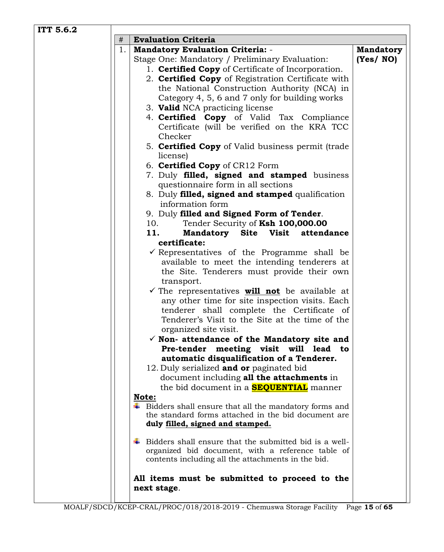| ITT 5.6.2 |                                                                                                                         |                  |
|-----------|-------------------------------------------------------------------------------------------------------------------------|------------------|
| #         | <b>Evaluation Criteria</b>                                                                                              |                  |
|           | 1.<br><b>Mandatory Evaluation Criteria: -</b>                                                                           | <b>Mandatory</b> |
|           | Stage One: Mandatory / Preliminary Evaluation:                                                                          | (Yes/NO)         |
|           | 1. <b>Certified Copy</b> of Certificate of Incorporation.                                                               |                  |
|           | 2. <b>Certified Copy</b> of Registration Certificate with                                                               |                  |
|           | the National Construction Authority (NCA) in                                                                            |                  |
|           | Category 4, 5, 6 and 7 only for building works                                                                          |                  |
|           | 3. Valid NCA practicing license                                                                                         |                  |
|           | 4. Certified Copy of Valid Tax Compliance                                                                               |                  |
|           | Certificate (will be verified on the KRA TCC                                                                            |                  |
|           | Checker                                                                                                                 |                  |
|           | 5. <b>Certified Copy</b> of Valid business permit (trade<br>license)                                                    |                  |
|           | 6. Certified Copy of CR12 Form                                                                                          |                  |
|           | 7. Duly filled, signed and stamped business                                                                             |                  |
|           | questionnaire form in all sections                                                                                      |                  |
|           | 8. Duly filled, signed and stamped qualification                                                                        |                  |
|           | information form                                                                                                        |                  |
|           | 9. Duly filled and Signed Form of Tender.                                                                               |                  |
|           | 10.<br>Tender Security of Ksh 100,000.00                                                                                |                  |
|           | Mandatory Site Visit attendance<br>11.                                                                                  |                  |
|           | certificate:                                                                                                            |                  |
|           | $\checkmark$ Representatives of the Programme shall be                                                                  |                  |
|           | available to meet the intending tenderers at                                                                            |                  |
|           | the Site. Tenderers must provide their own                                                                              |                  |
|           | transport.                                                                                                              |                  |
|           | $\checkmark$ The representatives <b>will not</b> be available at                                                        |                  |
|           | any other time for site inspection visits. Each                                                                         |                  |
|           | tenderer shall complete the Certificate of                                                                              |                  |
|           | Tenderer's Visit to the Site at the time of the                                                                         |                  |
|           | organized site visit.                                                                                                   |                  |
|           | $\checkmark$ Non- attendance of the Mandatory site and                                                                  |                  |
|           | Pre-tender<br>meeting visit will lead to                                                                                |                  |
|           | automatic disqualification of a Tenderer.                                                                               |                  |
|           | 12. Duly serialized and or paginated bid                                                                                |                  |
|           | document including all the attachments in                                                                               |                  |
|           | the bid document in a <b>SEQUENTIAL</b> manner                                                                          |                  |
|           | Note:                                                                                                                   |                  |
|           | $\ddagger$ Bidders shall ensure that all the mandatory forms and<br>the standard forms attached in the bid document are |                  |
|           | duly filled, signed and stamped.                                                                                        |                  |
|           |                                                                                                                         |                  |
|           | Bidders shall ensure that the submitted bid is a well-                                                                  |                  |
|           | organized bid document, with a reference table of                                                                       |                  |
|           | contents including all the attachments in the bid.                                                                      |                  |
|           | All items must be submitted to proceed to the                                                                           |                  |
|           | next stage.                                                                                                             |                  |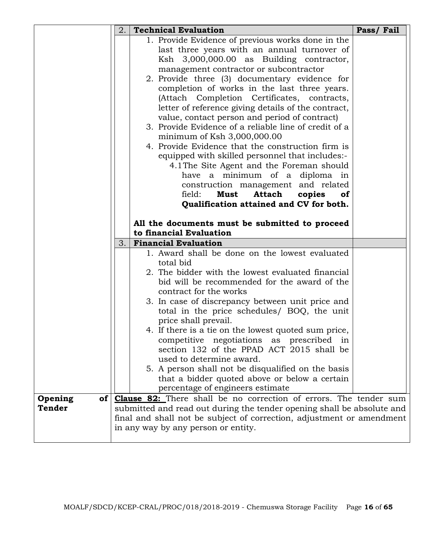|                            | 2.                                                                    | <b>Technical Evaluation</b>                                                                          | Pass/Fail |  |  |  |  |  |
|----------------------------|-----------------------------------------------------------------------|------------------------------------------------------------------------------------------------------|-----------|--|--|--|--|--|
|                            |                                                                       | 1. Provide Evidence of previous works done in the                                                    |           |  |  |  |  |  |
|                            |                                                                       | last three years with an annual turnover of                                                          |           |  |  |  |  |  |
|                            |                                                                       | Ksh 3,000,000.00 as Building contractor,                                                             |           |  |  |  |  |  |
|                            |                                                                       | management contractor or subcontractor                                                               |           |  |  |  |  |  |
|                            |                                                                       | 2. Provide three (3) documentary evidence for                                                        |           |  |  |  |  |  |
|                            |                                                                       | completion of works in the last three years.                                                         |           |  |  |  |  |  |
|                            |                                                                       | (Attach Completion Certificates, contracts,                                                          |           |  |  |  |  |  |
|                            |                                                                       | letter of reference giving details of the contract,<br>value, contact person and period of contract) |           |  |  |  |  |  |
|                            |                                                                       | 3. Provide Evidence of a reliable line of credit of a                                                |           |  |  |  |  |  |
|                            |                                                                       | minimum of Ksh $3,000,000.00$                                                                        |           |  |  |  |  |  |
|                            |                                                                       | 4. Provide Evidence that the construction firm is                                                    |           |  |  |  |  |  |
|                            |                                                                       | equipped with skilled personnel that includes:-                                                      |           |  |  |  |  |  |
|                            |                                                                       | 4.1 The Site Agent and the Foreman should                                                            |           |  |  |  |  |  |
|                            |                                                                       | have a minimum of a diploma in                                                                       |           |  |  |  |  |  |
|                            |                                                                       | construction management and related                                                                  |           |  |  |  |  |  |
|                            |                                                                       | field:<br>Must<br>Attach<br>copies<br><b>of</b>                                                      |           |  |  |  |  |  |
|                            |                                                                       | Qualification attained and CV for both.                                                              |           |  |  |  |  |  |
|                            |                                                                       | All the documents must be submitted to proceed                                                       |           |  |  |  |  |  |
|                            |                                                                       | to financial Evaluation                                                                              |           |  |  |  |  |  |
|                            | 3.                                                                    | <b>Financial Evaluation</b>                                                                          |           |  |  |  |  |  |
|                            |                                                                       | 1. Award shall be done on the lowest evaluated<br>total bid                                          |           |  |  |  |  |  |
|                            |                                                                       | 2. The bidder with the lowest evaluated financial                                                    |           |  |  |  |  |  |
|                            |                                                                       | bid will be recommended for the award of the                                                         |           |  |  |  |  |  |
|                            |                                                                       | contract for the works                                                                               |           |  |  |  |  |  |
|                            |                                                                       | 3. In case of discrepancy between unit price and                                                     |           |  |  |  |  |  |
|                            |                                                                       | total in the price schedules/ BOQ, the unit                                                          |           |  |  |  |  |  |
|                            |                                                                       | price shall prevail.                                                                                 |           |  |  |  |  |  |
|                            |                                                                       | 4. If there is a tie on the lowest quoted sum price,                                                 |           |  |  |  |  |  |
|                            |                                                                       | competitive negotiations as prescribed in                                                            |           |  |  |  |  |  |
|                            |                                                                       | section 132 of the PPAD ACT 2015 shall be                                                            |           |  |  |  |  |  |
|                            |                                                                       | used to determine award.                                                                             |           |  |  |  |  |  |
|                            |                                                                       | 5. A person shall not be disqualified on the basis<br>that a bidder quoted above or below a certain  |           |  |  |  |  |  |
|                            |                                                                       | percentage of engineers estimate                                                                     |           |  |  |  |  |  |
| Opening<br>of <sub>l</sub> |                                                                       | <b>Clause 82:</b> There shall be no correction of errors. The tender sum                             |           |  |  |  |  |  |
| Tender                     |                                                                       | submitted and read out during the tender opening shall be absolute and                               |           |  |  |  |  |  |
|                            | final and shall not be subject of correction, adjustment or amendment |                                                                                                      |           |  |  |  |  |  |
|                            |                                                                       | in any way by any person or entity.                                                                  |           |  |  |  |  |  |
|                            |                                                                       |                                                                                                      |           |  |  |  |  |  |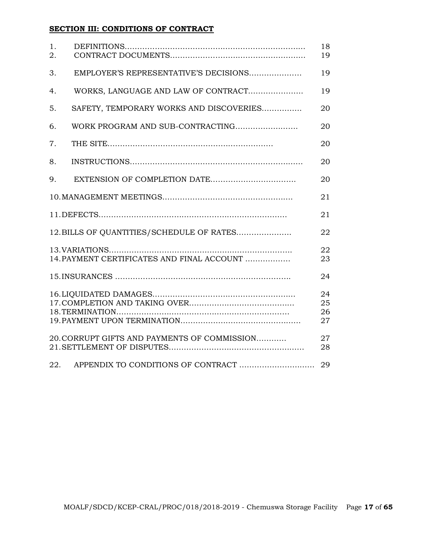# **SECTION III: CONDITIONS OF CONTRACT**

| 1.<br>2. |                                              | 18<br>19             |
|----------|----------------------------------------------|----------------------|
| 3.       | EMPLOYER'S REPRESENTATIVE'S DECISIONS        | 19                   |
| 4.       | WORKS, LANGUAGE AND LAW OF CONTRACT          | 19                   |
| 5.       | SAFETY, TEMPORARY WORKS AND DISCOVERIES      | 20                   |
| 6.       |                                              | 20                   |
| 7.       |                                              | 20                   |
| 8.       |                                              | 20                   |
| 9.       |                                              | 20                   |
|          |                                              | 21                   |
|          |                                              | 21                   |
|          | 12. BILLS OF QUANTITIES/SCHEDULE OF RATES    | 22                   |
|          | 14. PAYMENT CERTIFICATES AND FINAL ACCOUNT   | 22<br>23             |
|          |                                              | 24                   |
|          |                                              | 24<br>25<br>26<br>27 |
|          | 20. CORRUPT GIFTS AND PAYMENTS OF COMMISSION | 27<br>28             |
| 22.      | APPENDIX TO CONDITIONS OF CONTRACT           | 29                   |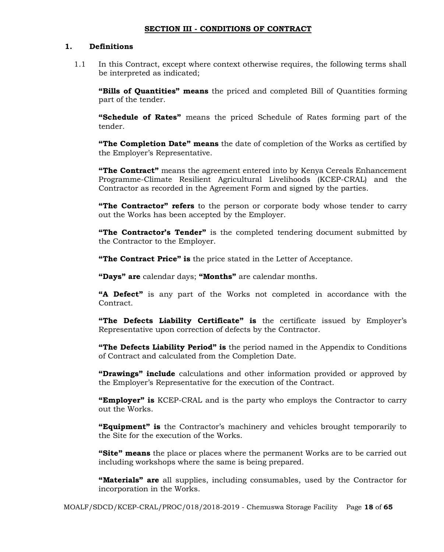### **SECTION III - CONDITIONS OF CONTRACT**

#### **1. Definitions**

1.1 In this Contract, except where context otherwise requires, the following terms shall be interpreted as indicated;

**"Bills of Quantities" means** the priced and completed Bill of Quantities forming part of the tender.

**"Schedule of Rates"** means the priced Schedule of Rates forming part of the tender.

**"The Completion Date" means** the date of completion of the Works as certified by the Employer's Representative.

**"The Contract"** means the agreement entered into by Kenya Cereals Enhancement Programme-Climate Resilient Agricultural Livelihoods (KCEP-CRAL) and the Contractor as recorded in the Agreement Form and signed by the parties.

**"The Contractor" refers** to the person or corporate body whose tender to carry out the Works has been accepted by the Employer.

**"The Contractor's Tender"** is the completed tendering document submitted by the Contractor to the Employer.

**"The Contract Price" is** the price stated in the Letter of Acceptance.

**"Days" are** calendar days; **"Months"** are calendar months.

**"A Defect"** is any part of the Works not completed in accordance with the Contract.

**"The Defects Liability Certificate" is** the certificate issued by Employer's Representative upon correction of defects by the Contractor.

**"The Defects Liability Period" is** the period named in the Appendix to Conditions of Contract and calculated from the Completion Date.

**"Drawings" include** calculations and other information provided or approved by the Employer's Representative for the execution of the Contract.

**"Employer" is** KCEP-CRAL and is the party who employs the Contractor to carry out the Works.

**"Equipment" is** the Contractor's machinery and vehicles brought temporarily to the Site for the execution of the Works.

**"Site" means** the place or places where the permanent Works are to be carried out including workshops where the same is being prepared.

**"Materials" are** all supplies, including consumables, used by the Contractor for incorporation in the Works.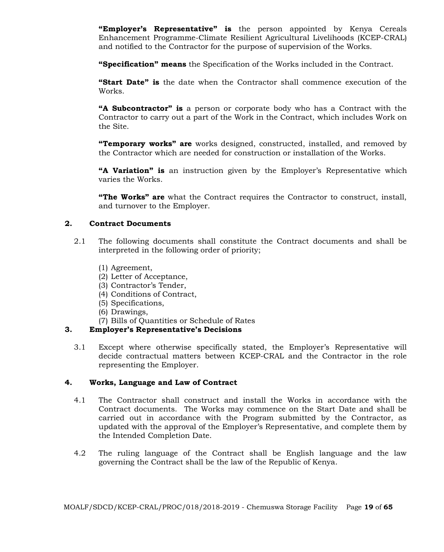**"Employer's Representative" is** the person appointed by Kenya Cereals Enhancement Programme-Climate Resilient Agricultural Livelihoods (KCEP-CRAL) and notified to the Contractor for the purpose of supervision of the Works.

**"Specification" means** the Specification of the Works included in the Contract.

**"Start Date" is** the date when the Contractor shall commence execution of the Works.

**"A Subcontractor" is** a person or corporate body who has a Contract with the Contractor to carry out a part of the Work in the Contract, which includes Work on the Site.

**"Temporary works" are** works designed, constructed, installed, and removed by the Contractor which are needed for construction or installation of the Works.

**"A Variation" is** an instruction given by the Employer's Representative which varies the Works.

**"The Works" are** what the Contract requires the Contractor to construct, install, and turnover to the Employer.

### **2. Contract Documents**

- 2.1 The following documents shall constitute the Contract documents and shall be interpreted in the following order of priority;
	- (1) Agreement,
	- (2) Letter of Acceptance,
	- (3) Contractor's Tender,
	- (4) Conditions of Contract,
	- (5) Specifications,
	- (6) Drawings,
	- (7) Bills of Quantities or Schedule of Rates

### **3. Employer's Representative's Decisions**

3.1 Except where otherwise specifically stated, the Employer's Representative will decide contractual matters between KCEP-CRAL and the Contractor in the role representing the Employer.

### **4. Works, Language and Law of Contract**

- 4.1 The Contractor shall construct and install the Works in accordance with the Contract documents. The Works may commence on the Start Date and shall be carried out in accordance with the Program submitted by the Contractor, as updated with the approval of the Employer's Representative, and complete them by the Intended Completion Date.
- 4.2 The ruling language of the Contract shall be English language and the law governing the Contract shall be the law of the Republic of Kenya.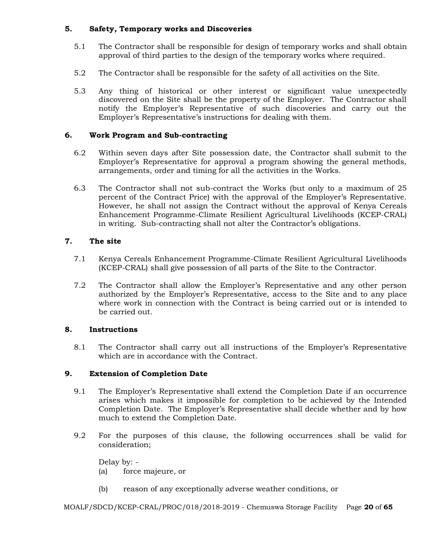# **5. Safety, Temporary works and Discoveries**

- 5.1 The Contractor shall be responsible for design of temporary works and shall obtain approval of third parties to the design of the temporary works where required.
- 5.2 The Contractor shall be responsible for the safety of all activities on the Site.
- 5.3 Any thing of historical or other interest or significant value unexpectedly discovered on the Site shall be the property of the Employer. The Contractor shall notify the Employer's Representative of such discoveries and carry out the Employer's Representative's instructions for dealing with them.

# **6. Work Program and Sub-contracting**

- 6.2 Within seven days after Site possession date, the Contractor shall submit to the Employer's Representative for approval a program showing the general methods, arrangements, order and timing for all the activities in the Works.
- 6.3 The Contractor shall not sub-contract the Works (but only to a maximum of 25 percent of the Contract Price) with the approval of the Employer's Representative. However, he shall not assign the Contract without the approval of Kenya Cereals Enhancement Programme-Climate Resilient Agricultural Livelihoods (KCEP-CRAL) in writing. Sub-contracting shall not alter the Contractor's obligations.

# **7. The site**

- 7.1 Kenya Cereals Enhancement Programme-Climate Resilient Agricultural Livelihoods (KCEP-CRAL) shall give possession of all parts of the Site to the Contractor.
- 7.2 The Contractor shall allow the Employer's Representative and any other person authorized by the Employer's Representative, access to the Site and to any place where work in connection with the Contract is being carried out or is intended to be carried out.

# **8. Instructions**

8.1 The Contractor shall carry out all instructions of the Employer's Representative which are in accordance with the Contract.

# **9. Extension of Completion Date**

- 9.1 The Employer's Representative shall extend the Completion Date if an occurrence arises which makes it impossible for completion to be achieved by the Intended Completion Date. The Employer's Representative shall decide whether and by how much to extend the Completion Date.
- 9.2 For the purposes of this clause, the following occurrences shall be valid for consideration;

Delay by: - (a) force majeure, or

(b) reason of any exceptionally adverse weather conditions, or

MOALF/SDCD/KCEP-CRAL/PROC/018/2018-2019 - Chemuswa Storage Facility Page **20** of **65**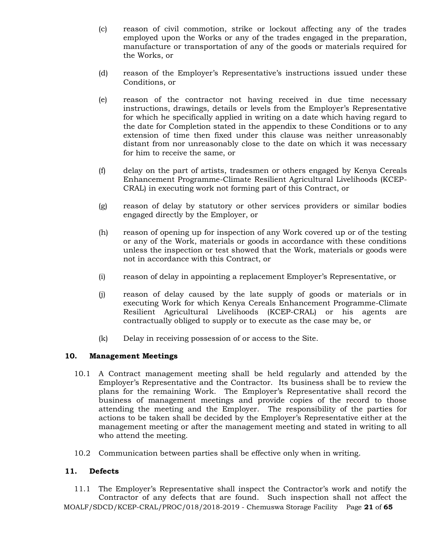- (c) reason of civil commotion, strike or lockout affecting any of the trades employed upon the Works or any of the trades engaged in the preparation, manufacture or transportation of any of the goods or materials required for the Works, or
- (d) reason of the Employer's Representative's instructions issued under these Conditions, or
- (e) reason of the contractor not having received in due time necessary instructions, drawings, details or levels from the Employer's Representative for which he specifically applied in writing on a date which having regard to the date for Completion stated in the appendix to these Conditions or to any extension of time then fixed under this clause was neither unreasonably distant from nor unreasonably close to the date on which it was necessary for him to receive the same, or
- (f) delay on the part of artists, tradesmen or others engaged by Kenya Cereals Enhancement Programme-Climate Resilient Agricultural Livelihoods (KCEP-CRAL) in executing work not forming part of this Contract, or
- (g) reason of delay by statutory or other services providers or similar bodies engaged directly by the Employer, or
- (h) reason of opening up for inspection of any Work covered up or of the testing or any of the Work, materials or goods in accordance with these conditions unless the inspection or test showed that the Work, materials or goods were not in accordance with this Contract, or
- (i) reason of delay in appointing a replacement Employer's Representative, or
- (j) reason of delay caused by the late supply of goods or materials or in executing Work for which Kenya Cereals Enhancement Programme-Climate Resilient Agricultural Livelihoods (KCEP-CRAL) or his agents are contractually obliged to supply or to execute as the case may be, or
- (k) Delay in receiving possession of or access to the Site.

# **10. Management Meetings**

- 10.1 A Contract management meeting shall be held regularly and attended by the Employer's Representative and the Contractor. Its business shall be to review the plans for the remaining Work. The Employer's Representative shall record the business of management meetings and provide copies of the record to those attending the meeting and the Employer. The responsibility of the parties for actions to be taken shall be decided by the Employer's Representative either at the management meeting or after the management meeting and stated in writing to all who attend the meeting.
- 10.2 Communication between parties shall be effective only when in writing.

# **11. Defects**

MOALF/SDCD/KCEP-CRAL/PROC/018/2018-2019 - Chemuswa Storage Facility Page **21** of **65** 11.1 The Employer's Representative shall inspect the Contractor's work and notify the Contractor of any defects that are found. Such inspection shall not affect the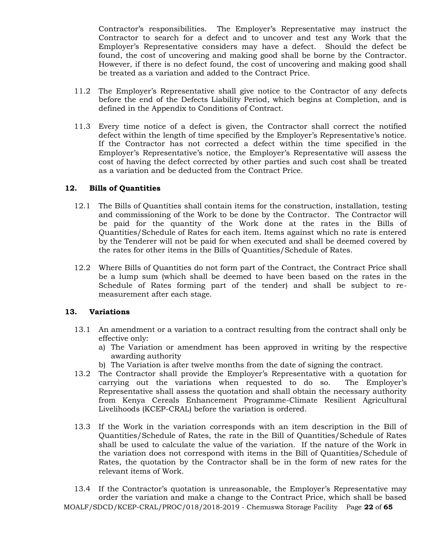Contractor's responsibilities. The Employer's Representative may instruct the Contractor to search for a defect and to uncover and test any Work that the Employer's Representative considers may have a defect. Should the defect be found, the cost of uncovering and making good shall be borne by the Contractor. However, if there is no defect found, the cost of uncovering and making good shall be treated as a variation and added to the Contract Price.

- 11.2 The Employer's Representative shall give notice to the Contractor of any defects before the end of the Defects Liability Period, which begins at Completion, and is defined in the Appendix to Conditions of Contract.
- 11.3 Every time notice of a defect is given, the Contractor shall correct the notified defect within the length of time specified by the Employer's Representative's notice. If the Contractor has not corrected a defect within the time specified in the Employer's Representative's notice, the Employer's Representative will assess the cost of having the defect corrected by other parties and such cost shall be treated as a variation and be deducted from the Contract Price.

### **12. Bills of Quantities**

- 12.1 The Bills of Quantities shall contain items for the construction, installation, testing and commissioning of the Work to be done by the Contractor. The Contractor will be paid for the quantity of the Work done at the rates in the Bills of Quantities/Schedule of Rates for each item. Items against which no rate is entered by the Tenderer will not be paid for when executed and shall be deemed covered by the rates for other items in the Bills of Quantities/Schedule of Rates.
- 12.2 Where Bills of Quantities do not form part of the Contract, the Contract Price shall be a lump sum (which shall be deemed to have been based on the rates in the Schedule of Rates forming part of the tender) and shall be subject to remeasurement after each stage.

# **13. Variations**

- 13.1 An amendment or a variation to a contract resulting from the contract shall only be effective only:
	- a) The Variation or amendment has been approved in writing by the respective awarding authority
	- b) The Variation is after twelve months from the date of signing the contract.
- 13.2 The Contractor shall provide the Employer's Representative with a quotation for carrying out the variations when requested to do so. The Employer's Representative shall assess the quotation and shall obtain the necessary authority from Kenya Cereals Enhancement Programme-Climate Resilient Agricultural Livelihoods (KCEP-CRAL) before the variation is ordered.
- 13.3 If the Work in the variation corresponds with an item description in the Bill of Quantities/Schedule of Rates, the rate in the Bill of Quantities/Schedule of Rates shall be used to calculate the value of the variation. If the nature of the Work in the variation does not correspond with items in the Bill of Quantities/Schedule of Rates, the quotation by the Contractor shall be in the form of new rates for the relevant items of Work.
- MOALF/SDCD/KCEP-CRAL/PROC/018/2018-2019 Chemuswa Storage Facility Page **22** of **65** 13.4 If the Contractor's quotation is unreasonable, the Employer's Representative may order the variation and make a change to the Contract Price, which shall be based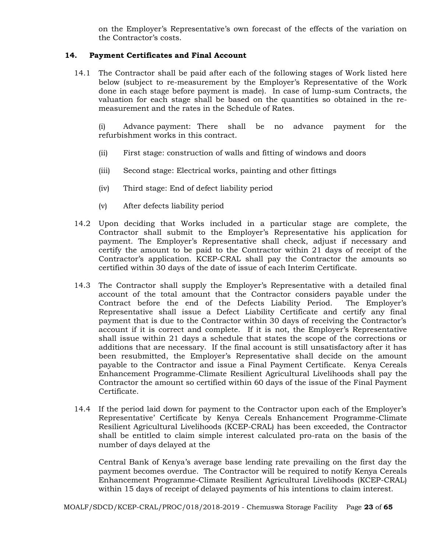on the Employer's Representative's own forecast of the effects of the variation on the Contractor's costs.

# **14. Payment Certificates and Final Account**

14.1 The Contractor shall be paid after each of the following stages of Work listed here below (subject to re-measurement by the Employer's Representative of the Work done in each stage before payment is made). In case of lump-sum Contracts, the valuation for each stage shall be based on the quantities so obtained in the remeasurement and the rates in the Schedule of Rates.

(i) Advance payment: There shall be no advance payment for the refurbishment works in this contract.

- (ii) First stage: construction of walls and fitting of windows and doors
- (iii) Second stage: Electrical works, painting and other fittings
- (iv) Third stage: End of defect liability period
- (v) After defects liability period
- 14.2 Upon deciding that Works included in a particular stage are complete, the Contractor shall submit to the Employer's Representative his application for payment. The Employer's Representative shall check, adjust if necessary and certify the amount to be paid to the Contractor within 21 days of receipt of the Contractor's application. KCEP-CRAL shall pay the Contractor the amounts so certified within 30 days of the date of issue of each Interim Certificate.
- 14.3 The Contractor shall supply the Employer's Representative with a detailed final account of the total amount that the Contractor considers payable under the Contract before the end of the Defects Liability Period. The Employer's Representative shall issue a Defect Liability Certificate and certify any final payment that is due to the Contractor within 30 days of receiving the Contractor's account if it is correct and complete. If it is not, the Employer's Representative shall issue within 21 days a schedule that states the scope of the corrections or additions that are necessary. If the final account is still unsatisfactory after it has been resubmitted, the Employer's Representative shall decide on the amount payable to the Contractor and issue a Final Payment Certificate. Kenya Cereals Enhancement Programme-Climate Resilient Agricultural Livelihoods shall pay the Contractor the amount so certified within 60 days of the issue of the Final Payment Certificate.
- 14.4 If the period laid down for payment to the Contractor upon each of the Employer's Representative' Certificate by Kenya Cereals Enhancement Programme-Climate Resilient Agricultural Livelihoods (KCEP-CRAL) has been exceeded, the Contractor shall be entitled to claim simple interest calculated pro-rata on the basis of the number of days delayed at the

Central Bank of Kenya's average base lending rate prevailing on the first day the payment becomes overdue. The Contractor will be required to notify Kenya Cereals Enhancement Programme-Climate Resilient Agricultural Livelihoods (KCEP-CRAL) within 15 days of receipt of delayed payments of his intentions to claim interest.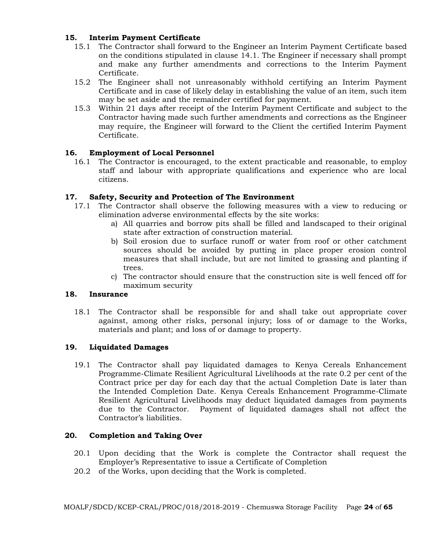# **15. Interim Payment Certificate**

- 15.1 The Contractor shall forward to the Engineer an Interim Payment Certificate based on the conditions stipulated in clause 14.1. The Engineer if necessary shall prompt and make any further amendments and corrections to the Interim Payment Certificate.
- 15.2 The Engineer shall not unreasonably withhold certifying an Interim Payment Certificate and in case of likely delay in establishing the value of an item, such item may be set aside and the remainder certified for payment.
- 15.3 Within 21 days after receipt of the Interim Payment Certificate and subject to the Contractor having made such further amendments and corrections as the Engineer may require, the Engineer will forward to the Client the certified Interim Payment Certificate.

# **16. Employment of Local Personnel**

16.1 The Contractor is encouraged, to the extent practicable and reasonable, to employ staff and labour with appropriate qualifications and experience who are local citizens.

# **17. Safety, Security and Protection of The Environment**

- 17.1 The Contractor shall observe the following measures with a view to reducing or elimination adverse environmental effects by the site works:
	- a) All quarries and borrow pits shall be filled and landscaped to their original state after extraction of construction material.
	- b) Soil erosion due to surface runoff or water from roof or other catchment sources should be avoided by putting in place proper erosion control measures that shall include, but are not limited to grassing and planting if trees.
	- c) The contractor should ensure that the construction site is well fenced off for maximum security

# **18. Insurance**

18.1 The Contractor shall be responsible for and shall take out appropriate cover against, among other risks, personal injury; loss of or damage to the Works, materials and plant; and loss of or damage to property.

# **19. Liquidated Damages**

19.1 The Contractor shall pay liquidated damages to Kenya Cereals Enhancement Programme-Climate Resilient Agricultural Livelihoods at the rate 0.2 per cent of the Contract price per day for each day that the actual Completion Date is later than the Intended Completion Date. Kenya Cereals Enhancement Programme-Climate Resilient Agricultural Livelihoods may deduct liquidated damages from payments due to the Contractor. Payment of liquidated damages shall not affect the Contractor's liabilities.

# **20. Completion and Taking Over**

- 20.1 Upon deciding that the Work is complete the Contractor shall request the Employer's Representative to issue a Certificate of Completion
- 20.2 of the Works, upon deciding that the Work is completed.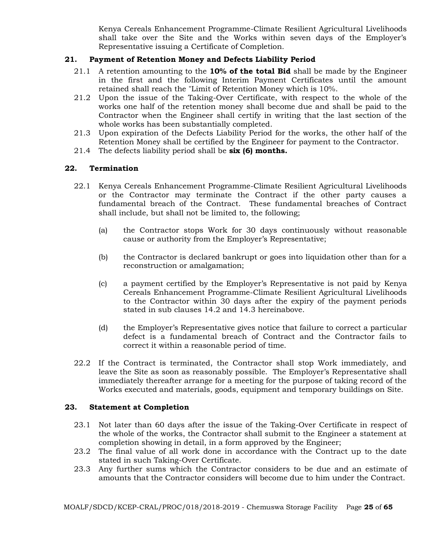Kenya Cereals Enhancement Programme-Climate Resilient Agricultural Livelihoods shall take over the Site and the Works within seven days of the Employer's Representative issuing a Certificate of Completion.

# **21. Payment of Retention Money and Defects Liability Period**

- 21.1 A retention amounting to the **10% of the total Bid** shall be made by the Engineer in the first and the following Interim Payment Certificates until the amount retained shall reach the "Limit of Retention Money which is 10%.
- 21.2 Upon the issue of the Taking-Over Certificate, with respect to the whole of the works one half of the retention money shall become due and shall be paid to the Contractor when the Engineer shall certify in writing that the last section of the whole works has been substantially completed.
- 21.3 Upon expiration of the Defects Liability Period for the works, the other half of the Retention Money shall be certified by the Engineer for payment to the Contractor.
- 21.4 The defects liability period shall be **six (6) months.**

# **22. Termination**

- 22.1 Kenya Cereals Enhancement Programme-Climate Resilient Agricultural Livelihoods or the Contractor may terminate the Contract if the other party causes a fundamental breach of the Contract. These fundamental breaches of Contract shall include, but shall not be limited to, the following;
	- (a) the Contractor stops Work for 30 days continuously without reasonable cause or authority from the Employer's Representative;
	- (b) the Contractor is declared bankrupt or goes into liquidation other than for a reconstruction or amalgamation;
	- (c) a payment certified by the Employer's Representative is not paid by Kenya Cereals Enhancement Programme-Climate Resilient Agricultural Livelihoods to the Contractor within 30 days after the expiry of the payment periods stated in sub clauses 14.2 and 14.3 hereinabove.
	- (d) the Employer's Representative gives notice that failure to correct a particular defect is a fundamental breach of Contract and the Contractor fails to correct it within a reasonable period of time.
- 22.2 If the Contract is terminated, the Contractor shall stop Work immediately, and leave the Site as soon as reasonably possible. The Employer's Representative shall immediately thereafter arrange for a meeting for the purpose of taking record of the Works executed and materials, goods, equipment and temporary buildings on Site.

# **23. Statement at Completion**

- 23.1 Not later than 60 days after the issue of the Taking-Over Certificate in respect of the whole of the works, the Contractor shall submit to the Engineer a statement at completion showing in detail, in a form approved by the Engineer;
- 23.2 The final value of all work done in accordance with the Contract up to the date stated in such Taking-Over Certificate.
- 23.3 Any further sums which the Contractor considers to be due and an estimate of amounts that the Contractor considers will become due to him under the Contract.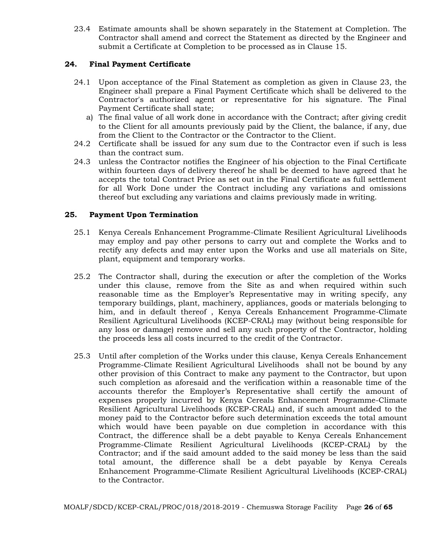23.4 Estimate amounts shall be shown separately in the Statement at Completion. The Contractor shall amend and correct the Statement as directed by the Engineer and submit a Certificate at Completion to be processed as in Clause 15.

# **24. Final Payment Certificate**

- 24.1 Upon acceptance of the Final Statement as completion as given in Clause 23, the Engineer shall prepare a Final Payment Certificate which shall be delivered to the Contractor's authorized agent or representative for his signature. The Final Payment Certificate shall state;
	- a) The final value of all work done in accordance with the Contract; after giving credit to the Client for all amounts previously paid by the Client, the balance, if any, due from the Client to the Contractor or the Contractor to the Client.
- 24.2 Certificate shall be issued for any sum due to the Contractor even if such is less than the contract sum.
- 24.3 unless the Contractor notifies the Engineer of his objection to the Final Certificate within fourteen days of delivery thereof he shall be deemed to have agreed that he accepts the total Contract Price as set out in the Final Certificate as full settlement for all Work Done under the Contract including any variations and omissions thereof but excluding any variations and claims previously made in writing.

# **25. Payment Upon Termination**

- 25.1 Kenya Cereals Enhancement Programme-Climate Resilient Agricultural Livelihoods may employ and pay other persons to carry out and complete the Works and to rectify any defects and may enter upon the Works and use all materials on Site, plant, equipment and temporary works.
- 25.2 The Contractor shall, during the execution or after the completion of the Works under this clause, remove from the Site as and when required within such reasonable time as the Employer's Representative may in writing specify, any temporary buildings, plant, machinery, appliances, goods or materials belonging to him, and in default thereof , Kenya Cereals Enhancement Programme-Climate Resilient Agricultural Livelihoods (KCEP-CRAL) may (without being responsible for any loss or damage) remove and sell any such property of the Contractor, holding the proceeds less all costs incurred to the credit of the Contractor.
- 25.3 Until after completion of the Works under this clause, Kenya Cereals Enhancement Programme-Climate Resilient Agricultural Livelihoods shall not be bound by any other provision of this Contract to make any payment to the Contractor, but upon such completion as aforesaid and the verification within a reasonable time of the accounts therefor the Employer's Representative shall certify the amount of expenses properly incurred by Kenya Cereals Enhancement Programme-Climate Resilient Agricultural Livelihoods (KCEP-CRAL) and, if such amount added to the money paid to the Contractor before such determination exceeds the total amount which would have been payable on due completion in accordance with this Contract, the difference shall be a debt payable to Kenya Cereals Enhancement Programme-Climate Resilient Agricultural Livelihoods (KCEP-CRAL) by the Contractor; and if the said amount added to the said money be less than the said total amount, the difference shall be a debt payable by Kenya Cereals Enhancement Programme-Climate Resilient Agricultural Livelihoods (KCEP-CRAL) to the Contractor.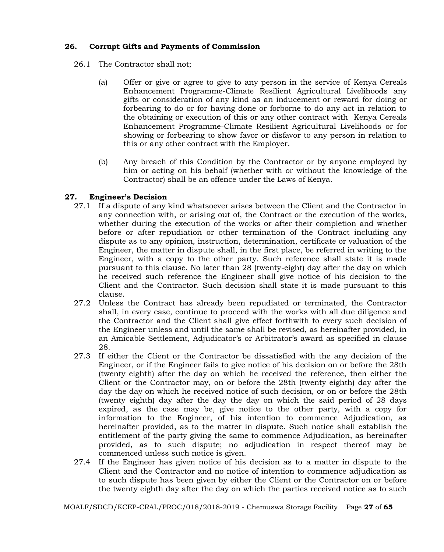# **26. Corrupt Gifts and Payments of Commission**

- 26.1 The Contractor shall not;
	- (a) Offer or give or agree to give to any person in the service of Kenya Cereals Enhancement Programme-Climate Resilient Agricultural Livelihoods any gifts or consideration of any kind as an inducement or reward for doing or forbearing to do or for having done or forborne to do any act in relation to the obtaining or execution of this or any other contract with Kenya Cereals Enhancement Programme-Climate Resilient Agricultural Livelihoods or for showing or forbearing to show favor or disfavor to any person in relation to this or any other contract with the Employer.
	- (b) Any breach of this Condition by the Contractor or by anyone employed by him or acting on his behalf (whether with or without the knowledge of the Contractor) shall be an offence under the Laws of Kenya.

# **27. Engineer's Decision**

- 27.1 If a dispute of any kind whatsoever arises between the Client and the Contractor in any connection with, or arising out of, the Contract or the execution of the works, whether during the execution of the works or after their completion and whether before or after repudiation or other termination of the Contract including any dispute as to any opinion, instruction, determination, certificate or valuation of the Engineer, the matter in dispute shall, in the first place, be referred in writing to the Engineer, with a copy to the other party. Such reference shall state it is made pursuant to this clause. No later than 28 (twenty-eight) day after the day on which he received such reference the Engineer shall give notice of his decision to the Client and the Contractor. Such decision shall state it is made pursuant to this clause.
- 27.2 Unless the Contract has already been repudiated or terminated, the Contractor shall, in every case, continue to proceed with the works with all due diligence and the Contractor and the Client shall give effect forthwith to every such decision of the Engineer unless and until the same shall be revised, as hereinafter provided, in an Amicable Settlement, Adjudicator's or Arbitrator's award as specified in clause 28.
- 27.3 If either the Client or the Contractor be dissatisfied with the any decision of the Engineer, or if the Engineer fails to give notice of his decision on or before the 28th (twenty eighth) after the day on which he received the reference, then either the Client or the Contractor may, on or before the 28th (twenty eighth) day after the day the day on which he received notice of such decision, or on or before the 28th (twenty eighth) day after the day the day on which the said period of 28 days expired, as the case may be, give notice to the other party, with a copy for information to the Engineer, of his intention to commence Adjudication, as hereinafter provided, as to the matter in dispute. Such notice shall establish the entitlement of the party giving the same to commence Adjudication, as hereinafter provided, as to such dispute; no adjudication in respect thereof may be commenced unless such notice is given.
- 27.4 If the Engineer has given notice of his decision as to a matter in dispute to the Client and the Contractor and no notice of intention to commence adjudication as to such dispute has been given by either the Client or the Contractor on or before the twenty eighth day after the day on which the parties received notice as to such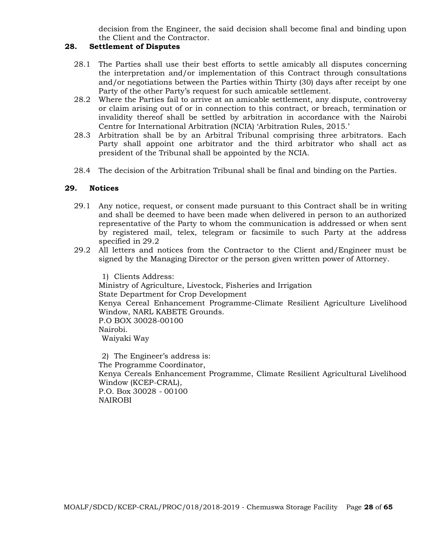decision from the Engineer, the said decision shall become final and binding upon the Client and the Contractor.

# **28. Settlement of Disputes**

- 28.1 The Parties shall use their best efforts to settle amicably all disputes concerning the interpretation and/or implementation of this Contract through consultations and/or negotiations between the Parties within Thirty (30) days after receipt by one Party of the other Party's request for such amicable settlement.
- 28.2 Where the Parties fail to arrive at an amicable settlement, any dispute, controversy or claim arising out of or in connection to this contract, or breach, termination or invalidity thereof shall be settled by arbitration in accordance with the Nairobi Centre for International Arbitration (NCIA) 'Arbitration Rules, 2015.'
- 28.3 Arbitration shall be by an Arbitral Tribunal comprising three arbitrators. Each Party shall appoint one arbitrator and the third arbitrator who shall act as president of the Tribunal shall be appointed by the NCIA.
- 28.4 The decision of the Arbitration Tribunal shall be final and binding on the Parties.

# **29. Notices**

- 29.1 Any notice, request, or consent made pursuant to this Contract shall be in writing and shall be deemed to have been made when delivered in person to an authorized representative of the Party to whom the communication is addressed or when sent by registered mail, telex, telegram or facsimile to such Party at the address specified in 29.2
- 29.2 All letters and notices from the Contractor to the Client and/Engineer must be signed by the Managing Director or the person given written power of Attorney.

1) Clients Address: Ministry of Agriculture, Livestock, Fisheries and Irrigation State Department for Crop Development Kenya Cereal Enhancement Programme-Climate Resilient Agriculture Livelihood Window, NARL KABETE Grounds. P.O BOX 30028-00100 Nairobi. Waiyaki Way

2) The Engineer's address is: The Programme Coordinator, Kenya Cereals Enhancement Programme, Climate Resilient Agricultural Livelihood Window (KCEP-CRAL), P.O. Box 30028 - 00100 NAIROBI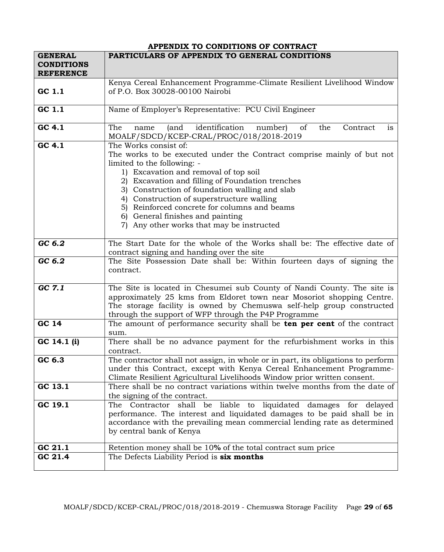|                                                         | APPENDIX TO CONDITIONS OF CONTRACT                                                                                                                                                                                                                                                                                                                                                                                                                          |
|---------------------------------------------------------|-------------------------------------------------------------------------------------------------------------------------------------------------------------------------------------------------------------------------------------------------------------------------------------------------------------------------------------------------------------------------------------------------------------------------------------------------------------|
| <b>GENERAL</b><br><b>CONDITIONS</b><br><b>REFERENCE</b> | PARTICULARS OF APPENDIX TO GENERAL CONDITIONS                                                                                                                                                                                                                                                                                                                                                                                                               |
|                                                         | Kenya Cereal Enhancement Programme-Climate Resilient Livelihood Window                                                                                                                                                                                                                                                                                                                                                                                      |
| GC 1.1                                                  | of P.O. Box 30028-00100 Nairobi                                                                                                                                                                                                                                                                                                                                                                                                                             |
| GC 1.1                                                  | Name of Employer's Representative: PCU Civil Engineer                                                                                                                                                                                                                                                                                                                                                                                                       |
| GC $4.\overline{1}$                                     | identification<br>The<br>of<br>(and<br>number)<br>the<br>Contract<br>is<br>name<br>MOALF/SDCD/KCEP-CRAL/PROC/018/2018-2019                                                                                                                                                                                                                                                                                                                                  |
| GC 4.1                                                  | The Works consist of:<br>The works to be executed under the Contract comprise mainly of but not<br>limited to the following: -<br>1) Excavation and removal of top soil<br>2) Excavation and filling of Foundation trenches<br>3) Construction of foundation walling and slab<br>4) Construction of superstructure walling<br>5) Reinforced concrete for columns and beams<br>6) General finishes and painting<br>7) Any other works that may be instructed |
| GC 6.2                                                  | The Start Date for the whole of the Works shall be: The effective date of<br>contract signing and handing over the site                                                                                                                                                                                                                                                                                                                                     |
| GC 6.2                                                  | The Site Possession Date shall be: Within fourteen days of signing the<br>contract.                                                                                                                                                                                                                                                                                                                                                                         |
| GC 7.1                                                  | The Site is located in Chesumei sub County of Nandi County. The site is<br>approximately 25 kms from Eldoret town near Mosoriot shopping Centre.<br>The storage facility is owned by Chemuswa self-help group constructed<br>through the support of WFP through the P4P Programme                                                                                                                                                                           |
| GC 14                                                   | The amount of performance security shall be <b>ten per cent</b> of the contract<br>sum.                                                                                                                                                                                                                                                                                                                                                                     |
| GC 14.1 (i)                                             | There shall be no advance payment for the refurbishment works in this<br>contract.                                                                                                                                                                                                                                                                                                                                                                          |
| GC 6.3                                                  | The contractor shall not assign, in whole or in part, its obligations to perform<br>under this Contract, except with Kenya Cereal Enhancement Programme-<br>Climate Resilient Agricultural Livelihoods Window prior written consent.                                                                                                                                                                                                                        |
| GC 13.1                                                 | There shall be no contract variations within twelve months from the date of<br>the signing of the contract.                                                                                                                                                                                                                                                                                                                                                 |
| GC 19.1                                                 | The Contractor shall be liable to liquidated damages for delayed<br>performance. The interest and liquidated damages to be paid shall be in<br>accordance with the prevailing mean commercial lending rate as determined<br>by central bank of Kenya                                                                                                                                                                                                        |
| GC 21.1                                                 | Retention money shall be 10% of the total contract sum price                                                                                                                                                                                                                                                                                                                                                                                                |
| GC 21.4                                                 | The Defects Liability Period is <b>six months</b>                                                                                                                                                                                                                                                                                                                                                                                                           |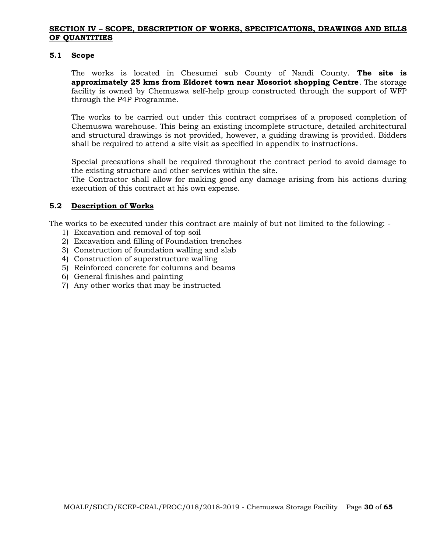### **SECTION IV – SCOPE, DESCRIPTION OF WORKS, SPECIFICATIONS, DRAWINGS AND BILLS OF QUANTITIES**

#### **5.1 Scope**

The works is located in Chesumei sub County of Nandi County. **The site is approximately 25 kms from Eldoret town near Mosoriot shopping Centre**. The storage facility is owned by Chemuswa self-help group constructed through the support of WFP through the P4P Programme.

The works to be carried out under this contract comprises of a proposed completion of Chemuswa warehouse. This being an existing incomplete structure, detailed architectural and structural drawings is not provided, however, a guiding drawing is provided. Bidders shall be required to attend a site visit as specified in appendix to instructions.

Special precautions shall be required throughout the contract period to avoid damage to the existing structure and other services within the site.

The Contractor shall allow for making good any damage arising from his actions during execution of this contract at his own expense.

### **5.2 Description of Works**

The works to be executed under this contract are mainly of but not limited to the following: -

- 1) Excavation and removal of top soil
- 2) Excavation and filling of Foundation trenches
- 3) Construction of foundation walling and slab
- 4) Construction of superstructure walling
- 5) Reinforced concrete for columns and beams
- 6) General finishes and painting
- 7) Any other works that may be instructed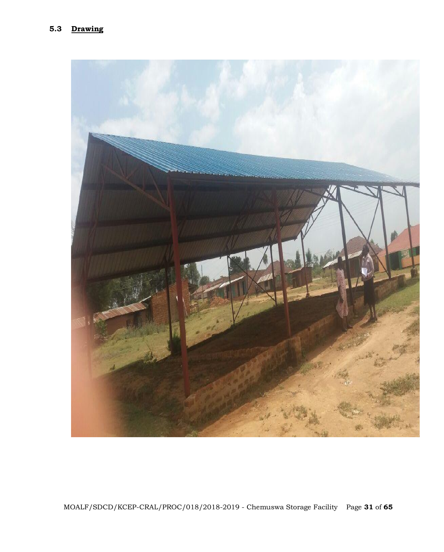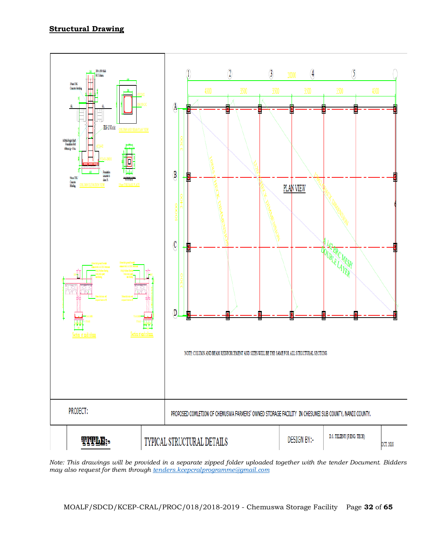# **Structural Drawing**



*Note: This drawings will be provided in a separate zipped folder uploaded together with the tender Document. Bidders may also request for them through [tenders.kcepcralprogramme@gmail.com](mailto:tenders.kcepcralprogramme@gmail.com)*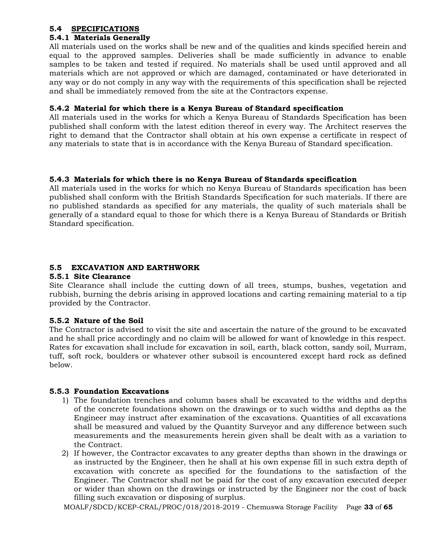### **5.4 SPECIFICATIONS**

# **5.4.1 Materials Generally**

All materials used on the works shall be new and of the qualities and kinds specified herein and equal to the approved samples. Deliveries shall be made sufficiently in advance to enable samples to be taken and tested if required. No materials shall be used until approved and all materials which are not approved or which are damaged, contaminated or have deteriorated in any way or do not comply in any way with the requirements of this specification shall be rejected and shall be immediately removed from the site at the Contractors expense.

# **5.4.2 Material for which there is a Kenya Bureau of Standard specification**

All materials used in the works for which a Kenya Bureau of Standards Specification has been published shall conform with the latest edition thereof in every way. The Architect reserves the right to demand that the Contractor shall obtain at his own expense a certificate in respect of any materials to state that is in accordance with the Kenya Bureau of Standard specification.

# **5.4.3 Materials for which there is no Kenya Bureau of Standards specification**

All materials used in the works for which no Kenya Bureau of Standards specification has been published shall conform with the British Standards Specification for such materials. If there are no published standards as specified for any materials, the quality of such materials shall be generally of a standard equal to those for which there is a Kenya Bureau of Standards or British Standard specification.

# **5.5 EXCAVATION AND EARTHWORK**

# **5.5.1 Site Clearance**

Site Clearance shall include the cutting down of all trees, stumps, bushes, vegetation and rubbish, burning the debris arising in approved locations and carting remaining material to a tip provided by the Contractor.

# **5.5.2 Nature of the Soil**

The Contractor is advised to visit the site and ascertain the nature of the ground to be excavated and he shall price accordingly and no claim will be allowed for want of knowledge in this respect. Rates for excavation shall include for excavation in soil, earth, black cotton, sandy soil, Murram, tuff, soft rock, boulders or whatever other subsoil is encountered except hard rock as defined below.

# **5.5.3 Foundation Excavations**

- 1) The foundation trenches and column bases shall be excavated to the widths and depths of the concrete foundations shown on the drawings or to such widths and depths as the Engineer may instruct after examination of the excavations. Quantities of all excavations shall be measured and valued by the Quantity Surveyor and any difference between such measurements and the measurements herein given shall be dealt with as a variation to the Contract.
- 2) If however, the Contractor excavates to any greater depths than shown in the drawings or as instructed by the Engineer, then he shall at his own expense fill in such extra depth of excavation with concrete as specified for the foundations to the satisfaction of the Engineer. The Contractor shall not be paid for the cost of any excavation executed deeper or wider than shown on the drawings or instructed by the Engineer nor the cost of back filling such excavation or disposing of surplus.

MOALF/SDCD/KCEP-CRAL/PROC/018/2018-2019 - Chemuswa Storage Facility Page **33** of **65**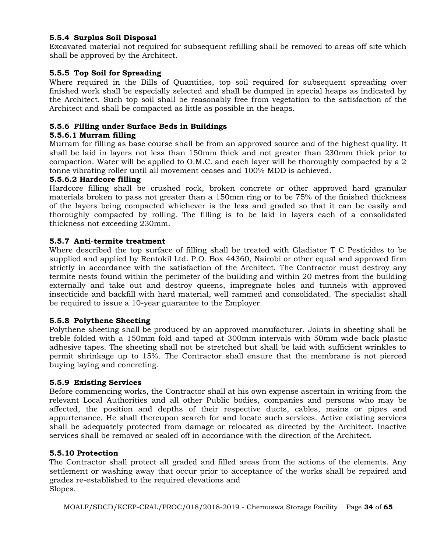# **5.5.4 Surplus Soil Disposal**

Excavated material not required for subsequent refilling shall be removed to areas off site which shall be approved by the Architect.

# **5.5.5 Top Soil for Spreading**

Where required in the Bills of Quantities, top soil required for subsequent spreading over finished work shall be especially selected and shall be dumped in special heaps as indicated by the Architect. Such top soil shall be reasonably free from vegetation to the satisfaction of the Architect and shall be compacted as little as possible in the heaps.

### **5.5.6 Filling under Surface Beds in Buildings**

### **5.5.6.1 Murram filling**

Murram for filling as base course shall be from an approved source and of the highest quality. It shall be laid in layers not less than 150mm thick and not greater than 230mm thick prior to compaction. Water will be applied to O.M.C. and each layer will be thoroughly compacted by a 2 tonne vibrating roller until all movement ceases and 100% MDD is achieved.

### **5.5.6.2 Hardcore filling**

Hardcore filling shall be crushed rock, broken concrete or other approved hard granular materials broken to pass not greater than a 150mm ring or to be 75% of the finished thickness of the layers being compacted whichever is the less and graded so that it can be easily and thoroughly compacted by rolling. The filling is to be laid in layers each of a consolidated thickness not exceeding 230mm.

#### **5.5.7 Anti**-**termite treatment**

Where described the top surface of filling shall be treated with Gladiator T C Pesticides to be supplied and applied by Rentokil Ltd. P.O. Box 44360, Nairobi or other equal and approved firm strictly in accordance with the satisfaction of the Architect. The Contractor must destroy any termite nests found within the perimeter of the building and within 20 metres from the building externally and take out and destroy queens, impregnate holes and tunnels with approved insecticide and backfill with hard material, well rammed and consolidated. The specialist shall be required to issue a 10-year guarantee to the Employer.

### **5.5.8 Polythene Sheeting**

Polythene sheeting shall be produced by an approved manufacturer. Joints in sheeting shall be treble folded with a 150mm fold and taped at 300mm intervals with 50mm wide back plastic adhesive tapes. The sheeting shall not be stretched but shall be laid with sufficient wrinkles to permit shrinkage up to 15%. The Contractor shall ensure that the membrane is not pierced buying laying and concreting.

### **5.5.9 Existing Services**

Before commencing works, the Contractor shall at his own expense ascertain in writing from the relevant Local Authorities and all other Public bodies, companies and persons who may be affected, the position and depths of their respective ducts, cables, mains or pipes and appurtenance. He shall thereupon search for and locate such services. Active existing services shall be adequately protected from damage or relocated as directed by the Architect. Inactive services shall be removed or sealed off in accordance with the direction of the Architect.

### **5.5.10 Protection**

The Contractor shall protect all graded and filled areas from the actions of the elements. Any settlement or washing away that occur prior to acceptance of the works shall be repaired and grades re-established to the required elevations and Slopes.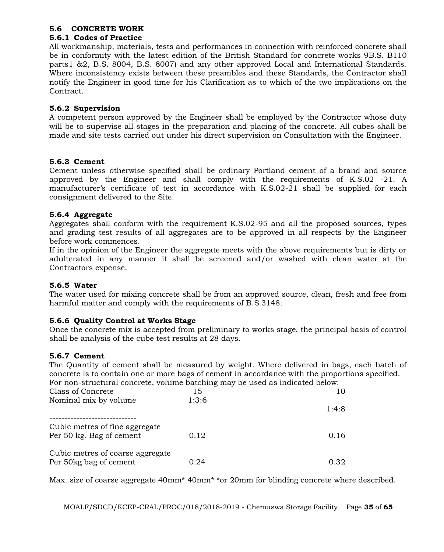# **5.6 CONCRETE WORK**

# **5.6.1 Codes of Practice**

All workmanship, materials, tests and performances in connection with reinforced concrete shall be in conformity with the latest edition of the British Standard for concrete works 9B.S. B110 parts1 &2, B.S. 8004, B.S. 8007) and any other approved Local and International Standards. Where inconsistency exists between these preambles and these Standards, the Contractor shall notify the Engineer in good time for his Clarification as to which of the two implications on the Contract.

# **5.6.2 Supervision**

A competent person approved by the Engineer shall be employed by the Contractor whose duty will be to supervise all stages in the preparation and placing of the concrete. All cubes shall be made and site tests carried out under his direct supervision on Consultation with the Engineer.

# **5.6.3 Cement**

Cement unless otherwise specified shall be ordinary Portland cement of a brand and source approved by the Engineer and shall comply with the requirements of K.S.02 -21. A manufacturer's certificate of test in accordance with K.S.02-21 shall be supplied for each consignment delivered to the Site.

# **5.6.4 Aggregate**

Aggregates shall conform with the requirement K.S.02-95 and all the proposed sources, types and grading test results of all aggregates are to be approved in all respects by the Engineer before work commences.

If in the opinion of the Engineer the aggregate meets with the above requirements but is dirty or adulterated in any manner it shall be screened and/or washed with clean water at the Contractors expense.

# **5.6.5 Water**

The water used for mixing concrete shall be from an approved source, clean, fresh and free from harmful matter and comply with the requirements of B.S.3148.

# **5.6.6 Quality Control at Works Stage**

Once the concrete mix is accepted from preliminary to works stage, the principal basis of control shall be analysis of the cube test results at 28 days.

# **5.6.7 Cement**

The Quantity of cement shall be measured by weight. Where delivered in bags, each batch of concrete is to contain one or more bags of cement in accordance with the proportions specified. For non-structural concrete, volume batching may be used as indicated below:

| Class of Concrete                | 15    |       |
|----------------------------------|-------|-------|
| Nominal mix by volume            | 1:3:6 |       |
|                                  |       | 1:4:8 |
|                                  |       |       |
| Cubic metres of fine aggregate   |       |       |
| Per 50 kg. Bag of cement         | 0.12  | 0.16  |
|                                  |       |       |
| Cubic metres of coarse aggregate |       |       |
| Per 50kg bag of cement           | 0.24  | 0.32  |

Max. size of coarse aggregate 40mm\* 40mm\* \*or 20mm for blinding concrete where described.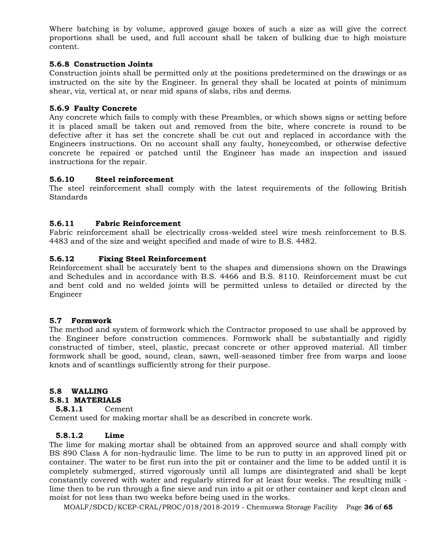Where batching is by volume, approved gauge boxes of such a size as will give the correct proportions shall be used, and full account shall be taken of bulking due to high moisture content.

# **5.6.8 Construction Joints**

Construction joints shall be permitted only at the positions predetermined on the drawings or as instructed on the site by the Engineer. In general they shall be located at points of minimum shear, viz, vertical at, or near mid spans of slabs, ribs and deems.

### **5.6.9 Faulty Concrete**

Any concrete which fails to comply with these Preambles, or which shows signs or setting before it is placed small be taken out and removed from the bite, where concrete is round to be defective after it has set the concrete shall be cut out and replaced in accordance with the Engineers instructions. On no account shall any faulty, honeycombed, or otherwise defective concrete be repaired or patched until the Engineer has made an inspection and issued instructions for the repair.

### **5.6.10 Steel reinforcement**

The steel reinforcement shall comply with the latest requirements of the following British Standards

### **5.6.11 Fabric Reinforcement**

Fabric reinforcement shall be electrically cross-welded steel wire mesh reinforcement to B.S. 4483 and of the size and weight specified and made of wire to B.S. 4482.

### **5.6.12 Fixing Steel Reinforcement**

Reinforcement shall be accurately bent to the shapes and dimensions shown on the Drawings and Schedules and in accordance with B.S. 4466 and B.S. 8110. Reinforcement must be cut and bent cold and no welded joints will be permitted unless to detailed or directed by the Engineer

# **5.7 Formwork**

The method and system of formwork which the Contractor proposed to use shall be approved by the Engineer before construction commences. Formwork shall be substantially and rigidly constructed of timber, steel, plastic, precast concrete or other approved material. All timber formwork shall be good, sound, clean, sawn, well-seasoned timber free from warps and loose knots and of scantlings sufficiently strong for their purpose.

# **5.8 WALLING**

### **5.8.1 MATERIALS**

**5.8.1.1** Cement

Cement used for making mortar shall be as described in concrete work.

# **5.8.1.2 Lime**

The lime for making mortar shall be obtained from an approved source and shall comply with BS 890 Class A for non-hydraulic lime. The lime to be run to putty in an approved lined pit or container. The water to be first run into the pit or container and the lime to be added until it is completely submerged, stirred vigorously until all lumps are disintegrated and shall be kept constantly covered with water and regularly stirred for at least four weeks. The resulting milk lime then to be run through a fine sieve and run into a pit or other container and kept clean and moist for not less than two weeks before being used in the works.

MOALF/SDCD/KCEP-CRAL/PROC/018/2018-2019 - Chemuswa Storage Facility Page **36** of **65**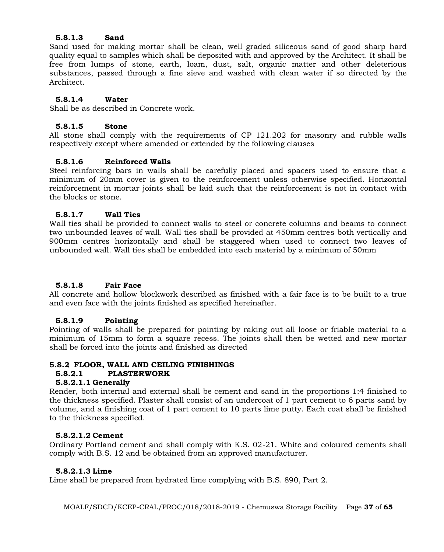## **5.8.1.3 Sand**

Sand used for making mortar shall be clean, well graded siliceous sand of good sharp hard quality equal to samples which shall be deposited with and approved by the Architect. It shall be free from lumps of stone, earth, loam, dust, salt, organic matter and other deleterious substances, passed through a fine sieve and washed with clean water if so directed by the Architect.

### **5.8.1.4 Water**

Shall be as described in Concrete work.

### **5.8.1.5 Stone**

All stone shall comply with the requirements of CP 121.202 for masonry and rubble walls respectively except where amended or extended by the following clauses

### **5.8.1.6 Reinforced Walls**

Steel reinforcing bars in walls shall be carefully placed and spacers used to ensure that a minimum of 20mm cover is given to the reinforcement unless otherwise specified. Horizontal reinforcement in mortar joints shall be laid such that the reinforcement is not in contact with the blocks or stone.

### **5.8.1.7 Wall Ties**

Wall ties shall be provided to connect walls to steel or concrete columns and beams to connect two unbounded leaves of wall. Wall ties shall be provided at 450mm centres both vertically and 900mm centres horizontally and shall be staggered when used to connect two leaves of unbounded wall. Wall ties shall be embedded into each material by a minimum of 50mm

# **5.8.1.8 Fair Face**

All concrete and hollow blockwork described as finished with a fair face is to be built to a true and even face with the joints finished as specified hereinafter.

### **5.8.1.9 Pointing**

Pointing of walls shall be prepared for pointing by raking out all loose or friable material to a minimum of 15mm to form a square recess. The joints shall then be wetted and new mortar shall be forced into the joints and finished as directed

### **5.8.2 FLOOR, WALL AND CEILING FINISHINGS**

### **5.8.2.1 PLASTERWORK**

### **5.8.2.1.1 Generally**

Render, both internal and external shall be cement and sand in the proportions 1:4 finished to the thickness specified. Plaster shall consist of an undercoat of 1 part cement to 6 parts sand by volume, and a finishing coat of 1 part cement to 10 parts lime putty. Each coat shall be finished to the thickness specified.

### **5.8.2.1.2 Cement**

Ordinary Portland cement and shall comply with K.S. 02-21. White and coloured cements shall comply with B.S. 12 and be obtained from an approved manufacturer.

### **5.8.2.1.3 Lime**

Lime shall be prepared from hydrated lime complying with B.S. 890, Part 2.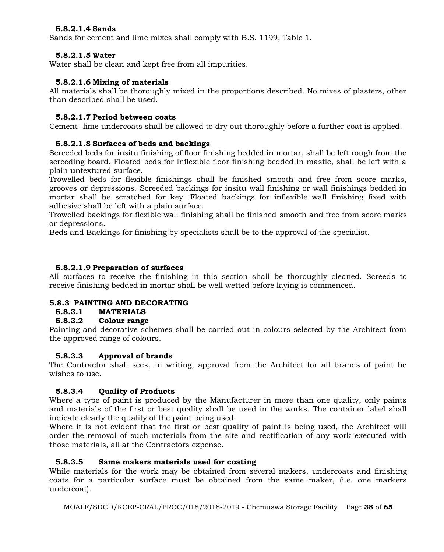# **5.8.2.1.4 Sands**

Sands for cement and lime mixes shall comply with B.S. 1199, Table 1.

### **5.8.2.1.5 Water**

Water shall be clean and kept free from all impurities.

### **5.8.2.1.6 Mixing of materials**

All materials shall be thoroughly mixed in the proportions described. No mixes of plasters, other than described shall be used.

### **5.8.2.1.7 Period between coats**

Cement -lime undercoats shall be allowed to dry out thoroughly before a further coat is applied.

### **5.8.2.1.8 Surfaces of beds and backings**

Screeded beds for insitu finishing of floor finishing bedded in mortar, shall be left rough from the screeding board. Floated beds for inflexible floor finishing bedded in mastic, shall be left with a plain untextured surface.

Trowelled beds for flexible finishings shall be finished smooth and free from score marks, grooves or depressions. Screeded backings for insitu wall finishing or wall finishings bedded in mortar shall be scratched for key. Floated backings for inflexible wall finishing fixed with adhesive shall be left with a plain surface.

Trowelled backings for flexible wall finishing shall be finished smooth and free from score marks or depressions.

Beds and Backings for finishing by specialists shall be to the approval of the specialist.

### **5.8.2.1.9 Preparation of surfaces**

All surfaces to receive the finishing in this section shall be thoroughly cleaned. Screeds to receive finishing bedded in mortar shall be well wetted before laying is commenced.

### **5.8.3 PAINTING AND DECORATING**

### **5.8.3.1 MATERIALS**

### **5.8.3.2 Colour range**

Painting and decorative schemes shall be carried out in colours selected by the Architect from the approved range of colours.

### **5.8.3.3 Approval of brands**

The Contractor shall seek, in writing, approval from the Architect for all brands of paint he wishes to use.

# **5.8.3.4 Quality of Products**

Where a type of paint is produced by the Manufacturer in more than one quality, only paints and materials of the first or best quality shall be used in the works. The container label shall indicate clearly the quality of the paint being used.

Where it is not evident that the first or best quality of paint is being used, the Architect will order the removal of such materials from the site and rectification of any work executed with those materials, all at the Contractors expense.

### **5.8.3.5 Same makers materials used for coating**

While materials for the work may be obtained from several makers, undercoats and finishing coats for a particular surface must be obtained from the same maker, (i.e. one markers undercoat).

MOALF/SDCD/KCEP-CRAL/PROC/018/2018-2019 - Chemuswa Storage Facility Page **38** of **65**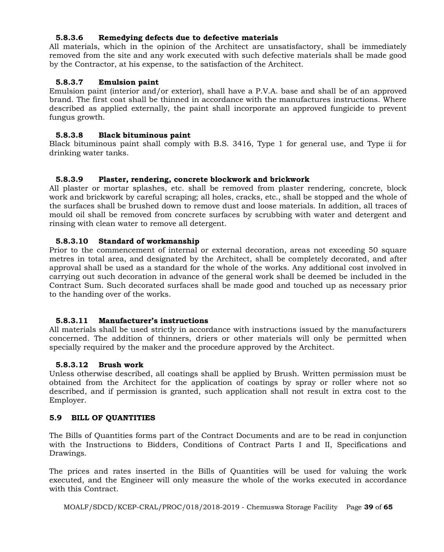# **5.8.3.6 Remedying defects due to defective materials**

All materials, which in the opinion of the Architect are unsatisfactory, shall be immediately removed from the site and any work executed with such defective materials shall be made good by the Contractor, at his expense, to the satisfaction of the Architect.

# **5.8.3.7 Emulsion paint**

Emulsion paint (interior and/or exterior), shall have a P.V.A. base and shall be of an approved brand. The first coat shall be thinned in accordance with the manufactures instructions. Where described as applied externally, the paint shall incorporate an approved fungicide to prevent fungus growth.

### **5.8.3.8 Black bituminous paint**

Black bituminous paint shall comply with B.S. 3416, Type 1 for general use, and Type ii for drinking water tanks.

### **5.8.3.9 Plaster, rendering, concrete blockwork and brickwork**

All plaster or mortar splashes, etc. shall be removed from plaster rendering, concrete, block work and brickwork by careful scraping; all holes, cracks, etc., shall be stopped and the whole of the surfaces shall be brushed down to remove dust and loose materials. In addition, all traces of mould oil shall be removed from concrete surfaces by scrubbing with water and detergent and rinsing with clean water to remove all detergent.

### **5.8.3.10 Standard of workmanship**

Prior to the commencement of internal or external decoration, areas not exceeding 50 square metres in total area, and designated by the Architect, shall be completely decorated, and after approval shall be used as a standard for the whole of the works. Any additional cost involved in carrying out such decoration in advance of the general work shall be deemed be included in the Contract Sum. Such decorated surfaces shall be made good and touched up as necessary prior to the handing over of the works.

### **5.8.3.11 Manufacturer's instructions**

All materials shall be used strictly in accordance with instructions issued by the manufacturers concerned. The addition of thinners, driers or other materials will only be permitted when specially required by the maker and the procedure approved by the Architect.

### **5.8.3.12 Brush work**

Unless otherwise described, all coatings shall be applied by Brush. Written permission must be obtained from the Architect for the application of coatings by spray or roller where not so described, and if permission is granted, such application shall not result in extra cost to the Employer.

### **5.9 BILL OF QUANTITIES**

The Bills of Quantities forms part of the Contract Documents and are to be read in conjunction with the Instructions to Bidders, Conditions of Contract Parts I and II, Specifications and Drawings.

The prices and rates inserted in the Bills of Quantities will be used for valuing the work executed, and the Engineer will only measure the whole of the works executed in accordance with this Contract.

```
MOALF/SDCD/KCEP-CRAL/PROC/018/2018-2019 - Chemuswa Storage Facility Page 39 of 65
```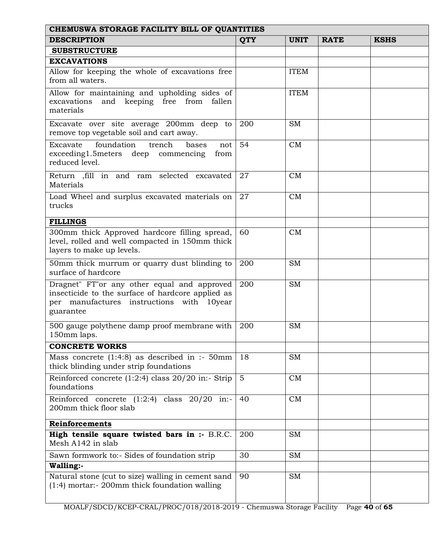| CHEMUSWA STORAGE FACILITY BILL OF QUANTITIES                                                                                                               |                |             |             |             |  |  |  |
|------------------------------------------------------------------------------------------------------------------------------------------------------------|----------------|-------------|-------------|-------------|--|--|--|
| <b>DESCRIPTION</b>                                                                                                                                         | <b>QTY</b>     | <b>UNIT</b> | <b>RATE</b> | <b>KSHS</b> |  |  |  |
| <b>SUBSTRUCTURE</b>                                                                                                                                        |                |             |             |             |  |  |  |
| <b>EXCAVATIONS</b>                                                                                                                                         |                |             |             |             |  |  |  |
| Allow for keeping the whole of excavations free<br>from all waters.                                                                                        |                | <b>ITEM</b> |             |             |  |  |  |
| Allow for maintaining and upholding sides of<br>and keeping free from fallen<br>excavations<br>materials                                                   |                | <b>ITEM</b> |             |             |  |  |  |
| Excavate over site average 200mm deep to<br>remove top vegetable soil and cart away.                                                                       | 200            | <b>SM</b>   |             |             |  |  |  |
| foundation<br>trench<br>Excavate<br>bases<br>not<br>exceeding1.5 meters deep commencing<br>from<br>reduced level.                                          | 54             | CM          |             |             |  |  |  |
| Return , fill in and ram selected excavated<br>Materials                                                                                                   | 27             | CM          |             |             |  |  |  |
| Load Wheel and surplus excavated materials on<br>trucks                                                                                                    | 27             | CM          |             |             |  |  |  |
| <b>FILLINGS</b>                                                                                                                                            |                |             |             |             |  |  |  |
| 300mm thick Approved hardcore filling spread,<br>level, rolled and well compacted in 150mm thick<br>layers to make up levels.                              | 60             | CM          |             |             |  |  |  |
| 50mm thick murrum or quarry dust blinding to<br>surface of hardcore                                                                                        | 200            | <b>SM</b>   |             |             |  |  |  |
| Dragnet" FT"or any other equal and approved<br>insecticide to the surface of hardcore applied as<br>per manufactures instructions with 10year<br>guarantee | 200            | <b>SM</b>   |             |             |  |  |  |
| 500 gauge polythene damp proof membrane with<br>150mm laps.                                                                                                | 200            | <b>SM</b>   |             |             |  |  |  |
| <b>CONCRETE WORKS</b>                                                                                                                                      |                |             |             |             |  |  |  |
| Mass concrete $(1:4:8)$ as described in :- 50mm<br>thick blinding under strip foundations                                                                  | 18             | <b>SM</b>   |             |             |  |  |  |
| Reinforced concrete $(1:2:4)$ class $20/20$ in:- Strip<br>foundations                                                                                      | $\overline{5}$ | CM          |             |             |  |  |  |
| Reinforced concrete $(1:2:4)$ class $20/20$ in:-<br>200mm thick floor slab                                                                                 | 40             | CM          |             |             |  |  |  |
| Reinforcements                                                                                                                                             |                |             |             |             |  |  |  |
| High tensile square twisted bars in :- B.R.C.<br>Mesh A142 in slab                                                                                         | 200            | <b>SM</b>   |             |             |  |  |  |
| Sawn formwork to:- Sides of foundation strip                                                                                                               | 30             | <b>SM</b>   |             |             |  |  |  |
| Walling:-                                                                                                                                                  |                |             |             |             |  |  |  |
| Natural stone (cut to size) walling in cement sand<br>$(1:4)$ mortar:- 200mm thick foundation walling                                                      | 90             | <b>SM</b>   |             |             |  |  |  |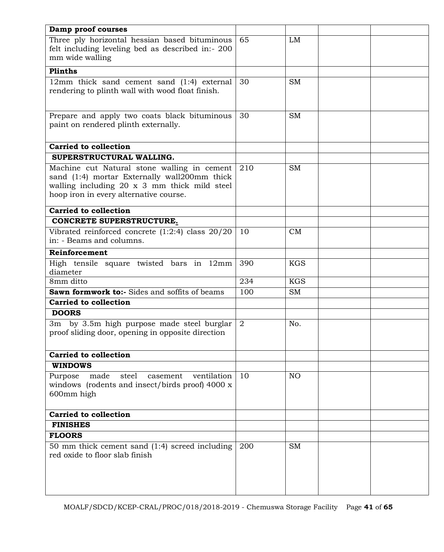| Damp proof courses                                                                                                                                                                    |                |                 |  |
|---------------------------------------------------------------------------------------------------------------------------------------------------------------------------------------|----------------|-----------------|--|
| Three ply horizontal hessian based bituminous<br>felt including leveling bed as described in:- 200<br>mm wide walling                                                                 | 65             | LM              |  |
| Plinths                                                                                                                                                                               |                |                 |  |
| 12mm thick sand cement sand (1:4) external<br>rendering to plinth wall with wood float finish.                                                                                        | 30             | <b>SM</b>       |  |
| Prepare and apply two coats black bituminous<br>paint on rendered plinth externally.                                                                                                  | 30             | <b>SM</b>       |  |
| <b>Carried to collection</b>                                                                                                                                                          |                |                 |  |
| SUPERSTRUCTURAL WALLING.                                                                                                                                                              |                |                 |  |
| Machine cut Natural stone walling in cement<br>sand (1:4) mortar Externally wall200mm thick<br>walling including 20 x 3 mm thick mild steel<br>hoop iron in every alternative course. | 210            | <b>SM</b>       |  |
| <b>Carried to collection</b>                                                                                                                                                          |                |                 |  |
| CONCRETE SUPERSTRUCTURE.                                                                                                                                                              |                |                 |  |
| Vibrated reinforced concrete $(1:2:4)$ class $20/20$<br>in: - Beams and columns.                                                                                                      | 10             | CM              |  |
| Reinforcement                                                                                                                                                                         |                |                 |  |
| High tensile square twisted bars in<br>$12 \text{mm}$<br>diameter                                                                                                                     | 390            | <b>KGS</b>      |  |
| 8mm ditto                                                                                                                                                                             | 234            | <b>KGS</b>      |  |
| Sawn formwork to:- Sides and soffits of beams                                                                                                                                         | 100            | <b>SM</b>       |  |
| <b>Carried to collection</b>                                                                                                                                                          |                |                 |  |
| <b>DOORS</b>                                                                                                                                                                          |                |                 |  |
| 3m by 3.5m high purpose made steel burglar<br>proof sliding door, opening in opposite direction                                                                                       | $\overline{2}$ | No.             |  |
| <b>Carried to collection</b>                                                                                                                                                          |                |                 |  |
| <b>WINDOWS</b>                                                                                                                                                                        |                |                 |  |
| made<br>ventilation<br>Purpose<br>steel<br>casement<br>windows (rodents and insect/birds proof) 4000 x<br>600mm high                                                                  | 10             | NO <sub>1</sub> |  |
| <b>Carried to collection</b>                                                                                                                                                          |                |                 |  |
| <b>FINISHES</b>                                                                                                                                                                       |                |                 |  |
| <b>FLOORS</b>                                                                                                                                                                         |                |                 |  |
| 50 mm thick cement sand (1:4) screed including<br>red oxide to floor slab finish                                                                                                      | 200            | <b>SM</b>       |  |
|                                                                                                                                                                                       |                |                 |  |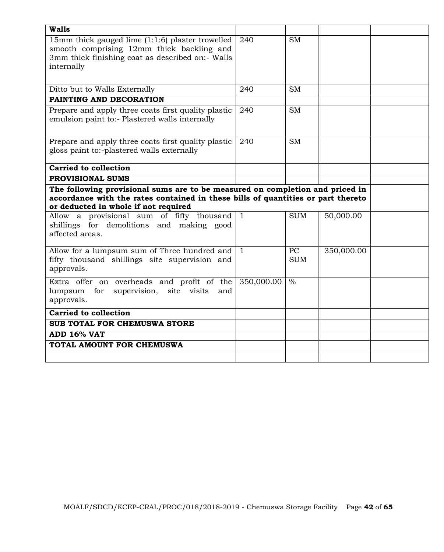| <b>Walls</b>                                                                                                                                                                                              |              |                  |            |  |
|-----------------------------------------------------------------------------------------------------------------------------------------------------------------------------------------------------------|--------------|------------------|------------|--|
| 15mm thick gauged lime (1:1:6) plaster trowelled<br>smooth comprising 12mm thick backling and<br>3mm thick finishing coat as described on:- Walls<br>internally                                           | 240          | <b>SM</b>        |            |  |
| Ditto but to Walls Externally                                                                                                                                                                             | 240          | <b>SM</b>        |            |  |
| PAINTING AND DECORATION                                                                                                                                                                                   |              |                  |            |  |
| Prepare and apply three coats first quality plastic<br>emulsion paint to:- Plastered walls internally                                                                                                     | 240          | <b>SM</b>        |            |  |
| Prepare and apply three coats first quality plastic<br>gloss paint to:-plastered walls externally                                                                                                         | 240          | <b>SM</b>        |            |  |
| <b>Carried to collection</b>                                                                                                                                                                              |              |                  |            |  |
| <b>PROVISIONAL SUMS</b>                                                                                                                                                                                   |              |                  |            |  |
| The following provisional sums are to be measured on completion and priced in<br>accordance with the rates contained in these bills of quantities or part thereto<br>or deducted in whole if not required |              |                  |            |  |
| Allow a provisional sum of fifty thousand<br>shillings for demolitions and making good<br>affected areas.                                                                                                 | $\mathbf{1}$ | <b>SUM</b>       | 50,000.00  |  |
| Allow for a lumpsum sum of Three hundred and                                                                                                                                                              |              |                  |            |  |
| fifty thousand shillings site supervision and<br>approvals.                                                                                                                                               | $\mathbf{1}$ | PC<br><b>SUM</b> | 350,000.00 |  |
| Extra offer on overheads and profit of the<br>supervision, site visits<br>lumpsum<br>for<br>and<br>approvals.                                                                                             | 350,000.00   | $\frac{0}{0}$    |            |  |
| <b>Carried to collection</b>                                                                                                                                                                              |              |                  |            |  |
| SUB TOTAL FOR CHEMUSWA STORE                                                                                                                                                                              |              |                  |            |  |
| ADD 16% VAT                                                                                                                                                                                               |              |                  |            |  |
| TOTAL AMOUNT FOR CHEMUSWA                                                                                                                                                                                 |              |                  |            |  |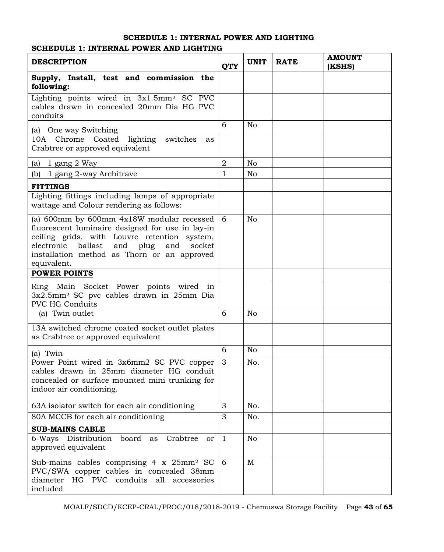# **SCHEDULE 1: INTERNAL POWER AND LIGHTING**

# **SCHEDULE 1: INTERNAL POWER AND LIGHTING**

| <b>DESCRIPTION</b>                                                                                                                                                                                                                                          | <b>QTY</b>     | <b>UNIT</b>    | <b>RATE</b> | <b>AMOUNT</b><br>(KSHS) |
|-------------------------------------------------------------------------------------------------------------------------------------------------------------------------------------------------------------------------------------------------------------|----------------|----------------|-------------|-------------------------|
| Supply, Install, test and commission the<br>following:                                                                                                                                                                                                      |                |                |             |                         |
| Lighting points wired in $3x1.5$ mm <sup>2</sup> SC PVC<br>cables drawn in concealed 20mm Dia HG PVC<br>conduits                                                                                                                                            |                |                |             |                         |
| (a) One way Switching                                                                                                                                                                                                                                       | 6              | No             |             |                         |
| lighting<br>10A Chrome Coated<br>switches<br>as<br>Crabtree or approved equivalent                                                                                                                                                                          |                |                |             |                         |
| (a) $1$ gang $2$ Way                                                                                                                                                                                                                                        | $\overline{2}$ | N <sub>o</sub> |             |                         |
| (b) 1 gang 2-way Architrave                                                                                                                                                                                                                                 | 1              | N <sub>o</sub> |             |                         |
| <b>FITTINGS</b>                                                                                                                                                                                                                                             |                |                |             |                         |
| Lighting fittings including lamps of appropriate<br>wattage and Colour rendering as follows:                                                                                                                                                                |                |                |             |                         |
| (a) 600mm by 600mm 4x18W modular recessed<br>fluorescent luminaire designed for use in lay-in<br>ceiling grids, with Louvre retention system,<br>electronic ballast and plug<br>and<br>socket<br>installation method as Thorn or an approved<br>equivalent. | 6              | N <sub>o</sub> |             |                         |
| <b>POWER POINTS</b>                                                                                                                                                                                                                                         |                |                |             |                         |
| Ring Main Socket Power points wired<br>in<br>3x2.5mm <sup>2</sup> SC pvc cables drawn in 25mm Dia<br><b>PVC HG Conduits</b>                                                                                                                                 |                |                |             |                         |
| (a) Twin outlet                                                                                                                                                                                                                                             | 6              | No             |             |                         |
| 13A switched chrome coated socket outlet plates<br>as Crabtree or approved equivalent                                                                                                                                                                       |                |                |             |                         |
| (a) Twin                                                                                                                                                                                                                                                    | 6              | No             |             |                         |
| Power Point wired in 3x6mm2 SC PVC copper<br>cables drawn in 25mm diameter HG conduit<br>concealed or surface mounted mini trunking for<br>indoor air conditioning.                                                                                         | 3              | No.            |             |                         |
| 63A isolator switch for each air conditioning                                                                                                                                                                                                               | 3              | No.            |             |                         |
| 80A MCCB for each air conditioning                                                                                                                                                                                                                          | 3              | No.            |             |                         |
| <b>SUB-MAINS CABLE</b>                                                                                                                                                                                                                                      |                |                |             |                         |
| board as<br>6-Ways Distribution<br>Crabtree<br><sub>or</sub><br>approved equivalent                                                                                                                                                                         | $\mathbf{1}$   | No             |             |                         |
| Sub-mains cables comprising 4 x 25mm <sup>2</sup> SC<br>PVC/SWA copper cables in concealed 38mm<br>diameter HG PVC conduits all accessories<br>included                                                                                                     | 6              | M              |             |                         |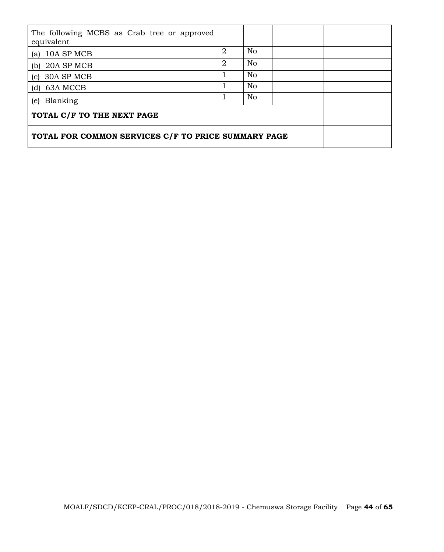| The following MCBS as Crab tree or approved<br>equivalent |   |                |  |  |
|-----------------------------------------------------------|---|----------------|--|--|
| (a) $10A$ SP MCB                                          | 2 | No             |  |  |
| (b) $20A$ SP MCB                                          | 2 | No             |  |  |
| $(c)$ 30A SP MCB                                          |   | N <sub>o</sub> |  |  |
| $(d)$ 63A MCCB                                            |   | N <sub>o</sub> |  |  |
| (e) Blanking                                              | 1 | N <sub>o</sub> |  |  |
| TOTAL C/F TO THE NEXT PAGE                                |   |                |  |  |
| TOTAL FOR COMMON SERVICES C/F TO PRICE SUMMARY PAGE       |   |                |  |  |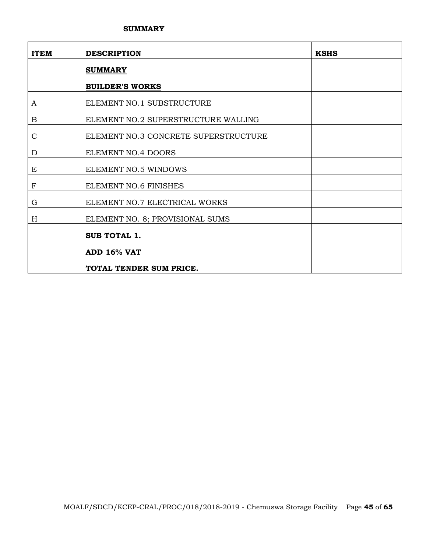### **SUMMARY**

| <b>ITEM</b>      | <b>DESCRIPTION</b>                   | <b>KSHS</b> |
|------------------|--------------------------------------|-------------|
|                  | <b>SUMMARY</b>                       |             |
|                  | <b>BUILDER'S WORKS</b>               |             |
| A                | ELEMENT NO.1 SUBSTRUCTURE            |             |
| B                | ELEMENT NO.2 SUPERSTRUCTURE WALLING  |             |
| $\mathsf{C}$     | ELEMENT NO.3 CONCRETE SUPERSTRUCTURE |             |
| D                | ELEMENT NO.4 DOORS                   |             |
| E                | ELEMENT NO.5 WINDOWS                 |             |
| $\boldsymbol{F}$ | ELEMENT NO.6 FINISHES                |             |
| G                | ELEMENT NO.7 ELECTRICAL WORKS        |             |
| H                | ELEMENT NO. 8; PROVISIONAL SUMS      |             |
|                  | <b>SUB TOTAL 1.</b>                  |             |
|                  | ADD 16% VAT                          |             |
|                  | TOTAL TENDER SUM PRICE.              |             |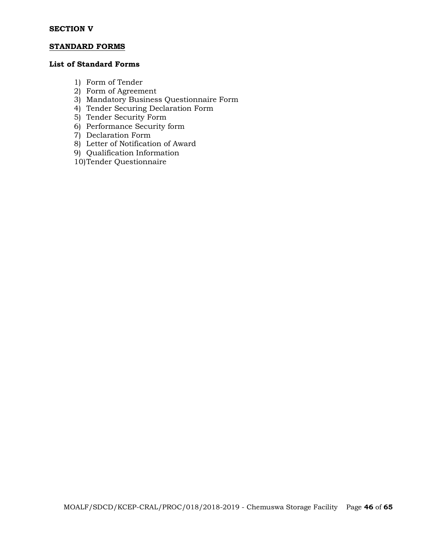### **STANDARD FORMS**

# **List of Standard Forms**

- 1) Form of Tender
- 2) Form of Agreement
- 3) Mandatory Business Questionnaire Form
- 4) Tender Securing Declaration Form
- 5) Tender Security Form
- 6) Performance Security form
- 7) Declaration Form
- 8) Letter of Notification of Award
- 9) Qualification Information
- 10)Tender Questionnaire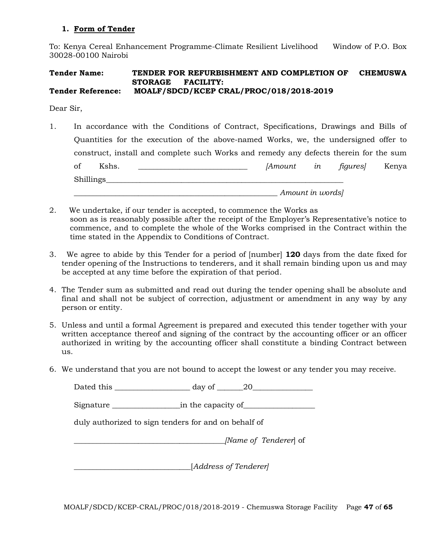### **1. Form of Tender**

To: Kenya Cereal Enhancement Programme-Climate Resilient Livelihood Window of P.O. Box 30028-00100 Nairobi

#### **Tender Name: TENDER FOR REFURBISHMENT AND COMPLETION OF CHEMUSWA STORAGE FACILITY: Tender Reference: MOALF/SDCD/KCEP CRAL/PROC/018/2018-2019**

Dear Sir,

- 1. In accordance with the Conditions of Contract, Specifications, Drawings and Bills of Quantities for the execution of the above-named Works, we, the undersigned offer to construct, install and complete such Works and remedy any defects therein for the sum of Kshs. \_\_\_\_\_\_\_\_\_\_\_\_\_\_\_\_\_\_\_\_\_\_\_\_\_\_\_\_\_ *[Amount in figures]* Kenya Shillings *\_\_\_\_\_\_\_\_\_\_\_\_\_\_\_\_\_\_\_\_\_\_\_\_\_\_\_\_\_\_\_\_\_\_\_\_\_\_\_\_\_\_\_\_\_\_\_\_\_\_\_\_\_\_ Amount in words]*
- 2. We undertake, if our tender is accepted, to commence the Works as soon as is reasonably possible after the receipt of the Employer's Representative's notice to commence, and to complete the whole of the Works comprised in the Contract within the time stated in the Appendix to Conditions of Contract.
- 3. We agree to abide by this Tender for a period of [number] **120** days from the date fixed for tender opening of the Instructions to tenderers, and it shall remain binding upon us and may be accepted at any time before the expiration of that period.
- 4. The Tender sum as submitted and read out during the tender opening shall be absolute and final and shall not be subject of correction, adjustment or amendment in any way by any person or entity.
- 5. Unless and until a formal Agreement is prepared and executed this tender together with your written acceptance thereof and signing of the contract by the accounting officer or an officer authorized in writing by the accounting officer shall constitute a binding Contract between us.
- 6. We understand that you are not bound to accept the lowest or any tender you may receive.

| Dated this the control of the control of the control of the control of the control of the control of the control of the control of the control of the control of the control of the control of the control of the control of t | $day of \_ 20$                                       |  |
|--------------------------------------------------------------------------------------------------------------------------------------------------------------------------------------------------------------------------------|------------------------------------------------------|--|
|                                                                                                                                                                                                                                |                                                      |  |
|                                                                                                                                                                                                                                | duly authorized to sign tenders for and on behalf of |  |
|                                                                                                                                                                                                                                | [Name of Tenderer] of                                |  |
|                                                                                                                                                                                                                                | [Address of Tenderer]                                |  |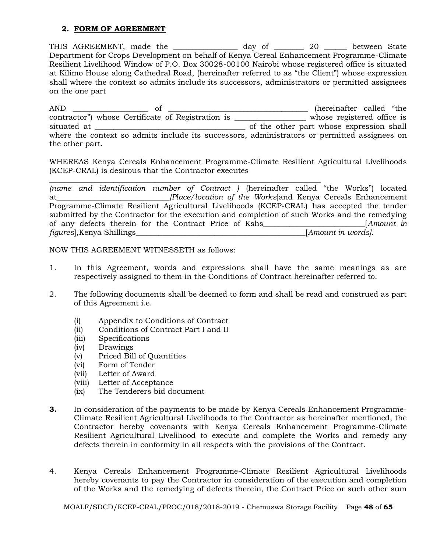### **2. FORM OF AGREEMENT**

THIS AGREEMENT, made the \_\_\_\_\_\_\_\_\_\_\_\_\_\_\_\_\_ day of \_\_\_\_\_\_\_\_ 20 \_\_\_\_\_\_ between State Department for Crops Development on behalf of Kenya Cereal Enhancement Programme-Climate Resilient Livelihood Window of P.O. Box 30028-00100 Nairobi whose registered office is situated at Kilimo House along Cathedral Road, (hereinafter referred to as "the Client") whose expression shall where the context so admits include its successors, administrators or permitted assignees on the one part

AND \_\_\_\_\_\_\_\_\_\_\_\_\_\_\_\_\_\_\_\_ of \_\_\_\_\_\_\_\_\_\_\_\_\_\_\_\_\_\_\_\_\_\_\_\_\_\_\_\_\_\_\_\_\_\_\_\_\_ (hereinafter called "the contractor") whose Certificate of Registration is \_\_\_\_\_\_\_\_\_\_\_\_\_\_\_\_\_\_\_ whose registered office is situated at  $\overline{a}$  situated at  $\overline{a}$  of the other part whose expression shall where the context so admits include its successors, administrators or permitted assignees on the other part.

WHEREAS Kenya Cereals Enhancement Programme-Climate Resilient Agricultural Livelihoods (KCEP-CRAL) is desirous that the Contractor executes

\_\_\_\_\_\_\_\_\_\_\_\_\_\_\_\_\_\_\_\_\_\_\_\_\_\_\_\_\_\_\_\_\_\_\_\_\_\_\_\_\_\_\_\_\_\_\_\_\_\_\_\_\_\_\_\_\_\_\_\_\_\_\_\_\_\_\_\_\_\_\_\_

*(name and identification number of Contract )* (hereinafter called "the Works") located at*\_\_\_\_\_\_\_\_\_\_\_\_\_\_\_\_\_\_\_\_\_\_\_\_\_\_\_\_\_\_[Place/location of the Works*]and Kenya Cereals Enhancement Programme-Climate Resilient Agricultural Livelihoods (KCEP-CRAL) has accepted the tender submitted by the Contractor for the execution and completion of such Works and the remedying of any defects therein for the Contract Price of Kshs\_\_\_\_\_\_\_\_\_\_\_\_\_\_\_\_\_\_\_\_\_\_\_\_\_\_\_[*Amount in figures*],Kenya Shillings\_\_\_\_\_\_\_\_\_\_\_\_\_\_\_\_\_\_\_\_\_\_\_\_\_\_\_\_\_\_\_\_\_\_\_\_\_\_\_\_\_\_\_\_\_[*Amount in words].*

NOW THIS AGREEMENT WITNESSETH as follows:

- 1. In this Agreement, words and expressions shall have the same meanings as are respectively assigned to them in the Conditions of Contract hereinafter referred to.
- 2. The following documents shall be deemed to form and shall be read and construed as part of this Agreement i.e.
	- (i) Appendix to Conditions of Contract
	- (ii) Conditions of Contract Part I and II
	- (iii) Specifications
	- (iv) Drawings
	- (v) Priced Bill of Quantities
	- (vi) Form of Tender
	- (vii) Letter of Award
	- (viii) Letter of Acceptance
	- (ix) The Tenderers bid document
- **3.** In consideration of the payments to be made by Kenya Cereals Enhancement Programme-Climate Resilient Agricultural Livelihoods to the Contractor as hereinafter mentioned, the Contractor hereby covenants with Kenya Cereals Enhancement Programme-Climate Resilient Agricultural Livelihood to execute and complete the Works and remedy any defects therein in conformity in all respects with the provisions of the Contract.
- 4. Kenya Cereals Enhancement Programme-Climate Resilient Agricultural Livelihoods hereby covenants to pay the Contractor in consideration of the execution and completion of the Works and the remedying of defects therein, the Contract Price or such other sum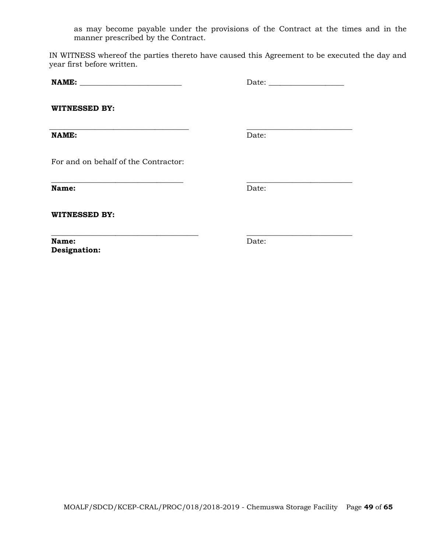as may become payable under the provisions of the Contract at the times and in the manner prescribed by the Contract.

IN WITNESS whereof the parties thereto have caused this Agreement to be executed the day and year first before written.

**\_\_\_\_\_\_\_\_\_\_\_\_\_\_\_\_\_\_\_\_\_\_\_\_\_\_\_\_\_\_\_\_\_\_\_ \_\_\_\_\_\_\_\_\_\_\_\_\_\_\_\_\_\_\_\_\_\_\_\_\_\_\_\_**

**NAME: \_\_\_\_\_\_\_\_\_\_\_\_\_\_\_\_\_\_\_\_\_\_\_\_\_\_\_** Date: \_\_\_\_\_\_\_\_\_\_\_\_\_\_\_\_\_\_\_\_

**WITNESSED BY:**

**NAME:** Date:

**\_\_\_\_\_\_\_\_\_\_\_\_\_\_\_\_\_\_\_\_\_\_\_\_\_\_\_\_\_\_\_\_\_\_\_\_\_ \_\_\_\_\_\_\_\_\_\_\_\_\_\_\_\_\_\_\_\_\_\_\_\_\_\_\_\_**

For and on behalf of the Contractor:

**Name:** Date:

**WITNESSED BY:**

**Name:** Date: **Designation:** 

**\_\_\_\_\_\_\_\_\_\_\_\_\_\_\_\_\_\_\_\_\_\_\_\_\_\_\_\_\_\_\_\_\_\_\_\_\_\_\_ \_\_\_\_\_\_\_\_\_\_\_\_\_\_\_\_\_\_\_\_\_\_\_\_\_\_\_\_**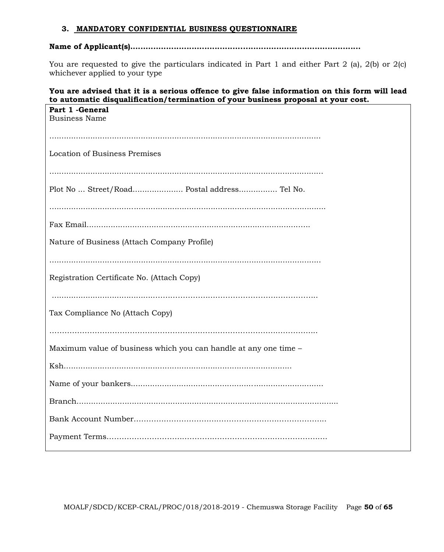### **3. MANDATORY CONFIDENTIAL BUSINESS QUESTIONNAIRE**

# **Name of Applicant(s)..........................................................................................**

You are requested to give the particulars indicated in Part 1 and either Part 2 (a), 2(b) or 2(c) whichever applied to your type

# **You are advised that it is a serious offence to give false information on this form will lead to automatic disqualification/termination of your business proposal at your cost.**

| Part 1 - General<br><b>Business Name</b>                         |
|------------------------------------------------------------------|
|                                                                  |
| <b>Location of Business Premises</b>                             |
|                                                                  |
| Plot No  Street/Road Postal address Tel No.                      |
|                                                                  |
|                                                                  |
| Nature of Business (Attach Company Profile)                      |
|                                                                  |
| Registration Certificate No. (Attach Copy)                       |
|                                                                  |
| Tax Compliance No (Attach Copy)                                  |
|                                                                  |
| Maximum value of business which you can handle at any one time - |
|                                                                  |
|                                                                  |
|                                                                  |
|                                                                  |
|                                                                  |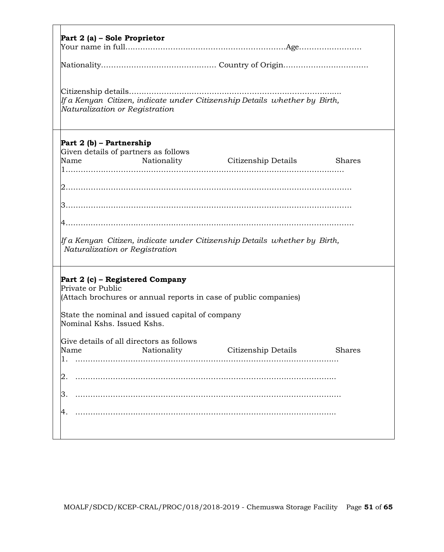| Part 2 (a) – Sole Proprietor                                                                                   |
|----------------------------------------------------------------------------------------------------------------|
|                                                                                                                |
|                                                                                                                |
|                                                                                                                |
| If a Kenyan Citizen, indicate under Citizenship Details whether by Birth,                                      |
| Naturalization or Registration                                                                                 |
|                                                                                                                |
|                                                                                                                |
| Part 2 (b) – Partnership<br>Given details of partners as follows                                               |
| Name<br><b>Shares</b>                                                                                          |
|                                                                                                                |
|                                                                                                                |
|                                                                                                                |
|                                                                                                                |
|                                                                                                                |
|                                                                                                                |
| lf a Kenyan  Citizen, indicate under Citizenship Details  whether by  Birth,<br>Naturalization or Registration |
|                                                                                                                |
|                                                                                                                |
| Part 2 (c) – Registered Company<br>Private or Public                                                           |
| (Attach brochures or annual reports in case of public companies)                                               |
|                                                                                                                |
| State the nominal and issued capital of company<br>Nominal Kshs. Issued Kshs.                                  |
|                                                                                                                |
| Give details of all directors as follows                                                                       |
| Nationality<br>Citizenship Details<br>Name<br><b>Shares</b><br>1.<br>.                                         |
|                                                                                                                |
| 2                                                                                                              |
| 3.                                                                                                             |
|                                                                                                                |
| 4.                                                                                                             |
|                                                                                                                |
|                                                                                                                |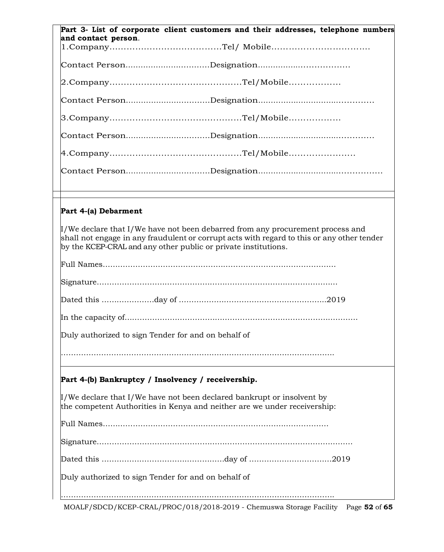| Part 3- List of corporate client customers and their addresses, telephone numbers<br>and contact person.                                                                                                                                       |
|------------------------------------------------------------------------------------------------------------------------------------------------------------------------------------------------------------------------------------------------|
|                                                                                                                                                                                                                                                |
|                                                                                                                                                                                                                                                |
|                                                                                                                                                                                                                                                |
|                                                                                                                                                                                                                                                |
|                                                                                                                                                                                                                                                |
|                                                                                                                                                                                                                                                |
|                                                                                                                                                                                                                                                |
|                                                                                                                                                                                                                                                |
|                                                                                                                                                                                                                                                |
| Part 4-(a) Debarment                                                                                                                                                                                                                           |
|                                                                                                                                                                                                                                                |
| I/We declare that I/We have not been debarred from any procurement process and<br>shall not engage in any fraudulent or corrupt acts with regard to this or any other tender<br>by the KCEP-CRAL and any other public or private institutions. |
|                                                                                                                                                                                                                                                |
|                                                                                                                                                                                                                                                |
|                                                                                                                                                                                                                                                |
|                                                                                                                                                                                                                                                |
| Duly authorized to sign Tender for and on behalf of                                                                                                                                                                                            |

# **Part 4-(b) Bankruptcy / Insolvency / receivership.**

 $\mu$ /We declare that I/We have not been declared bankrupt or insolvent by the competent Authorities in Kenya and neither are we under receivership:

Full Names………………………………………………………………………………

Dated this …………………………….……………day of ……………………………2019

Duly authorized to sign Tender for and on behalf of

……………………………………………………………………………………………….

MOALF/SDCD/KCEP-CRAL/PROC/018/2018-2019 - Chemuswa Storage Facility Page **52** of **65**

……………………………………………………………………………………………….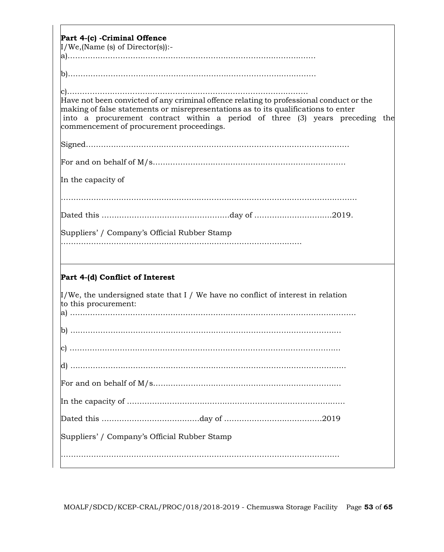| Part 4-(c) - Criminal Offence                                                                                                                                                                                                                                                                             |
|-----------------------------------------------------------------------------------------------------------------------------------------------------------------------------------------------------------------------------------------------------------------------------------------------------------|
| $I/We$ , (Name (s) of Director(s)):-                                                                                                                                                                                                                                                                      |
|                                                                                                                                                                                                                                                                                                           |
|                                                                                                                                                                                                                                                                                                           |
| Have not been convicted of any criminal offence relating to professional conduct or the<br>making of false statements or misrepresentations as to its qualifications to enter<br>into a procurement contract within a period of three (3) years preceding the<br>commencement of procurement proceedings. |
|                                                                                                                                                                                                                                                                                                           |
|                                                                                                                                                                                                                                                                                                           |
| In the capacity of                                                                                                                                                                                                                                                                                        |
|                                                                                                                                                                                                                                                                                                           |
|                                                                                                                                                                                                                                                                                                           |
| Suppliers' / Company's Official Rubber Stamp                                                                                                                                                                                                                                                              |
| Part 4-(d) Conflict of Interest                                                                                                                                                                                                                                                                           |
| $\mu$ /We, the undersigned state that I / We have no conflict of interest in relation<br>to this procurement:                                                                                                                                                                                             |
|                                                                                                                                                                                                                                                                                                           |
|                                                                                                                                                                                                                                                                                                           |
|                                                                                                                                                                                                                                                                                                           |
|                                                                                                                                                                                                                                                                                                           |
|                                                                                                                                                                                                                                                                                                           |
|                                                                                                                                                                                                                                                                                                           |
| Suppliers' / Company's Official Rubber Stamp                                                                                                                                                                                                                                                              |
|                                                                                                                                                                                                                                                                                                           |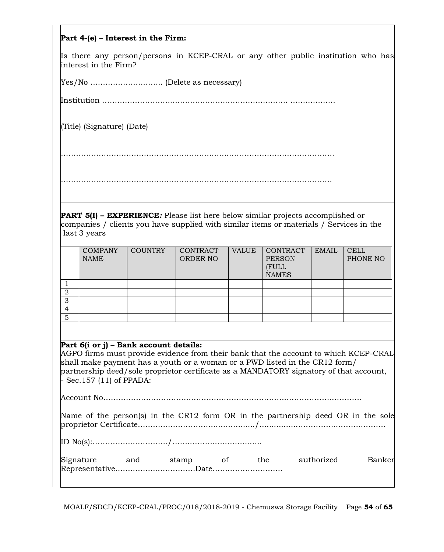## **Part 4-(e)** – **Interest in the Firm:**

Is there any person/persons in KCEP-CRAL or any other public institution who has interest in the Firm?

Yes/No ……………………….. (Delete as necessary)

Institution ………………………….……………………………………. ………………

(Title) (Signature) (Date)

……………………………………………………………………………………………….

………………………………………………………………………………………………

**PART 5(I) – EXPERIENCE***:* Please list here below similar projects accomplished or companies / clients you have supplied with similar items or materials / Services in the last 3 years

|   | <b>COMPANY</b> | <b>COUNTRY</b> | CONTRACT        | <b>VALUE</b> | CONTRACT      | <b>EMAIL</b> | <b>CELL</b> |
|---|----------------|----------------|-----------------|--------------|---------------|--------------|-------------|
|   | <b>NAME</b>    |                | <b>ORDER NO</b> |              | <b>PERSON</b> |              | PHONE NO    |
|   |                |                |                 |              | (FULL         |              |             |
|   |                |                |                 |              |               |              |             |
|   |                |                |                 |              | <b>NAMES</b>  |              |             |
|   |                |                |                 |              |               |              |             |
|   |                |                |                 |              |               |              |             |
| ∩ |                |                |                 |              |               |              |             |
| 3 |                |                |                 |              |               |              |             |
|   |                |                |                 |              |               |              |             |
|   |                |                |                 |              |               |              |             |
| 5 |                |                |                 |              |               |              |             |

### **Part 6(i or j) – Bank account details:**

AGPO firms must provide evidence from their bank that the account to which KCEP-CRAL shall make payment has a youth or a woman or a PWD listed in the CR12 form/ partnership deed/sole proprietor certificate as a MANDATORY signatory of that account, - Sec.157 (11) of PPADA:

Account No………………………………………………………………………………………….

|  |  |  |  |  | Name of the person(s) in the CR12 form OR in the partnership deed OR in the sole |  |  |  |
|--|--|--|--|--|----------------------------------------------------------------------------------|--|--|--|
|  |  |  |  |  |                                                                                  |  |  |  |

ID No(s):…………………………/…….………..…….…..…...

| Signature | and | stamp | *he. | authorized | Bankerl |
|-----------|-----|-------|------|------------|---------|
|           |     |       |      |            |         |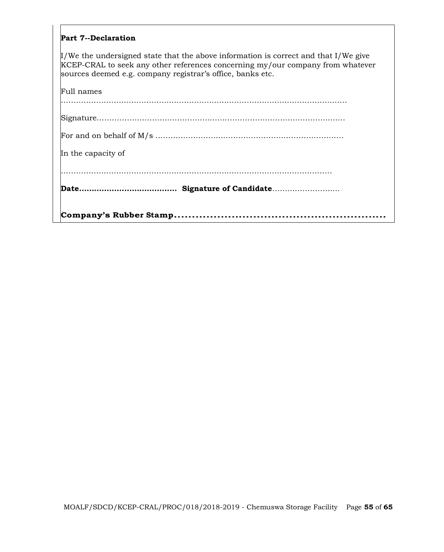### **Part 7--Declaration**

I/We the undersigned state that the above information is correct and that I/We give KCEP-CRAL to seek any other references concerning my/our company from whatever sources deemed e.g. company registrar's office, banks etc.

| In the capacity of |  |
|--------------------|--|
|                    |  |
|                    |  |
|                    |  |
| Full names         |  |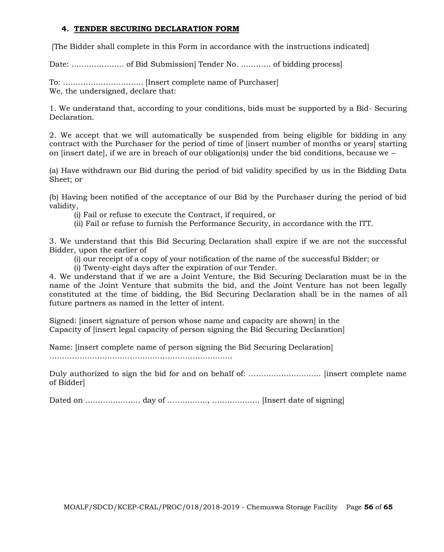# **4. TENDER SECURING DECLARATION FORM**

[The Bidder shall complete in this Form in accordance with the instructions indicated]

Date: ………………… of Bid Submission] Tender No. ………… of bidding process]

To: ………………………….. [Insert complete name of Purchaser] We, the undersigned, declare that:

1. We understand that, according to your conditions, bids must be supported by a Bid- Securing Declaration.

2. We accept that we will automatically be suspended from being eligible for bidding in any contract with the Purchaser for the period of time of linsert number of months or years] starting on [insert date], if we are in breach of our obligation(s) under the bid conditions, because we  $-$ 

(a) Have withdrawn our Bid during the period of bid validity specified by us in the Bidding Data Sheet; or

(b) Having been notified of the acceptance of our Bid by the Purchaser during the period of bid validity,

(i) Fail or refuse to execute the Contract, if required, or

(ii) Fail or refuse to furnish the Performance Security, in accordance with the ITT.

3. We understand that this Bid Securing Declaration shall expire if we are not the successful Bidder, upon the earlier of

(i) our receipt of a copy of your notification of the name of the successful Bidder; or

(i) Twenty-eight days after the expiration of our Tender.

4. We understand that if we are a Joint Venture, the Bid Securing Declaration must be in the name of the Joint Venture that submits the bid, and the Joint Venture has not been legally constituted at the time of bidding, the Bid Securing Declaration shall be in the names of all future partners as named in the letter of intent.

Signed: [insert signature of person whose name and capacity are shown] in the Capacity of [insert legal capacity of person signing the Bid Securing Declaration]

Name: [insert complete name of person signing the Bid Securing Declaration]

……………………………………………………………….

Duly authorized to sign the bid for and on behalf of: ……………………….. [insert complete name of Bidder]

Dated on …………………. day of ……………., ………………. [Insert date of signing]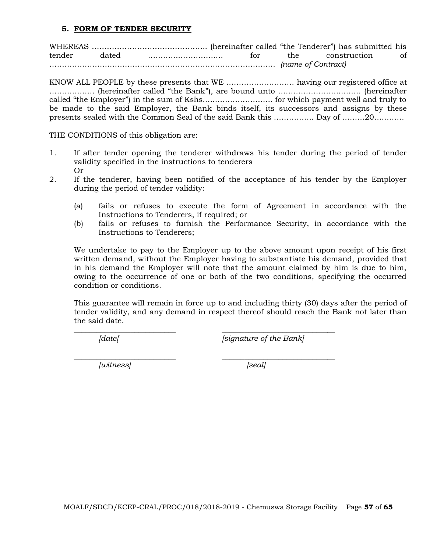### **5. FORM OF TENDER SECURITY**

WHEREAS ………………………………………. (hereinafter called "the Tenderer") has submitted his tender dated ………………………… for the construction of ……………………………………………………………………………… *(name of Contract)*

KNOW ALL PEOPLE by these presents that WE ……………………… having our registered office at ……………… (hereinafter called "the Bank"), are bound unto …………………………… (hereinafter called "the Employer") in the sum of Kshs.……………………… for which payment well and truly to be made to the said Employer, the Bank binds itself, its successors and assigns by these presents sealed with the Common Seal of the said Bank this ……………. Day of ………20…………

THE CONDITIONS of this obligation are:

- 1. If after tender opening the tenderer withdraws his tender during the period of tender validity specified in the instructions to tenderers Or
- 2. If the tenderer, having been notified of the acceptance of his tender by the Employer during the period of tender validity:
	- (a) fails or refuses to execute the form of Agreement in accordance with the Instructions to Tenderers, if required; or
	- (b) fails or refuses to furnish the Performance Security, in accordance with the Instructions to Tenderers;

We undertake to pay to the Employer up to the above amount upon receipt of his first written demand, without the Employer having to substantiate his demand, provided that in his demand the Employer will note that the amount claimed by him is due to him, owing to the occurrence of one or both of the two conditions, specifying the occurred condition or conditions.

This guarantee will remain in force up to and including thirty (30) days after the period of tender validity, and any demand in respect thereof should reach the Bank not later than the said date.

\_\_\_\_\_\_\_\_\_\_\_\_\_\_\_\_\_\_\_\_\_\_\_\_\_\_\_ \_\_\_\_\_\_\_\_\_\_\_\_\_\_\_\_\_\_\_\_\_\_\_\_\_\_\_\_\_\_

*[date[ [signature of the Bank]*

*\_\_\_\_\_\_\_\_\_\_\_\_\_\_\_\_\_\_\_\_\_\_\_\_\_\_\_ \_\_\_\_\_\_\_\_\_\_\_\_\_\_\_\_\_\_\_\_\_\_\_\_\_\_\_\_\_\_ [witness] [seal]*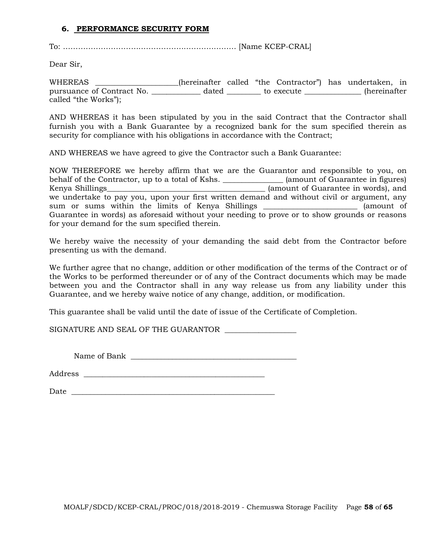### **6. PERFORMANCE SECURITY FORM**

To: …………………………………………………………… [Name KCEP-CRAL]

Dear Sir,

WHEREAS \_\_\_\_\_\_\_\_\_\_\_\_\_\_\_\_\_\_\_\_\_\_(hereinafter called "the Contractor") has undertaken, in pursuance of Contract No. <br>
dated to execute the secure to the reinafter called "the Works");

AND WHEREAS it has been stipulated by you in the said Contract that the Contractor shall furnish you with a Bank Guarantee by a recognized bank for the sum specified therein as security for compliance with his obligations in accordance with the Contract;

AND WHEREAS we have agreed to give the Contractor such a Bank Guarantee:

NOW THEREFORE we hereby affirm that we are the Guarantor and responsible to you, on behalf of the Contractor, up to a total of Kshs. \_\_\_\_\_\_\_\_\_\_\_\_\_\_\_\_ (amount of Guarantee in figures) Kenya Shillings\_\_\_\_\_\_\_\_\_\_\_\_\_\_\_\_\_\_\_\_\_\_\_\_\_\_\_\_\_\_\_\_\_\_\_\_\_\_\_\_\_\_ (amount of Guarantee in words), and we undertake to pay you, upon your first written demand and without civil or argument, any sum or sums within the limits of Kenya Shillings (amount of Guarantee in words) as aforesaid without your needing to prove or to show grounds or reasons for your demand for the sum specified therein.

We hereby waive the necessity of your demanding the said debt from the Contractor before presenting us with the demand.

We further agree that no change, addition or other modification of the terms of the Contract or of the Works to be performed thereunder or of any of the Contract documents which may be made between you and the Contractor shall in any way release us from any liability under this Guarantee, and we hereby waive notice of any change, addition, or modification.

This guarantee shall be valid until the date of issue of the Certificate of Completion.

SIGNATURE AND SEAL OF THE GUARANTOR \_\_\_\_\_\_\_\_\_\_\_\_\_\_\_\_\_\_\_

Name of Bank \_\_\_\_\_\_\_\_\_\_\_\_\_\_\_\_\_\_\_\_\_\_\_\_\_\_\_\_\_\_\_\_\_\_\_\_\_\_\_\_\_\_\_\_

Address \_\_\_\_\_\_\_\_\_\_\_\_\_\_\_\_\_\_\_\_\_\_\_\_\_\_\_\_\_\_\_\_\_\_\_\_\_\_\_\_\_\_\_\_\_\_\_\_

 $Date$   $\Box$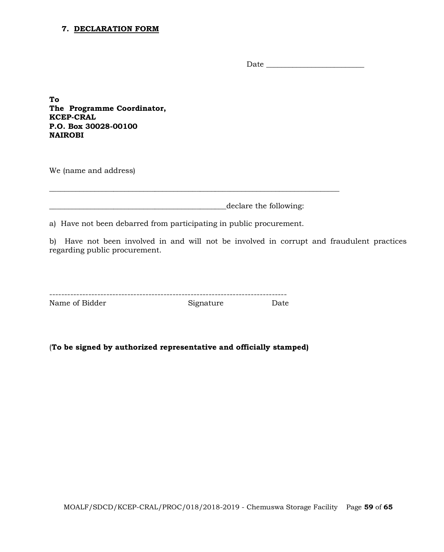#### **7. DECLARATION FORM**

Date \_\_\_\_\_\_\_\_\_\_\_\_\_\_\_\_\_\_\_\_\_\_\_\_\_\_

**To The Programme Coordinator, KCEP-CRAL P.O. Box 30028-00100 NAIROBI**

We (name and address)

\_\_\_\_\_\_\_\_\_\_\_\_\_\_\_\_\_\_\_\_\_\_\_\_\_\_\_\_\_\_\_\_\_\_\_\_\_\_\_\_\_\_\_\_\_\_\_declare the following:

\_\_\_\_\_\_\_\_\_\_\_\_\_\_\_\_\_\_\_\_\_\_\_\_\_\_\_\_\_\_\_\_\_\_\_\_\_\_\_\_\_\_\_\_\_\_\_\_\_\_\_\_\_\_\_\_\_\_\_\_\_\_\_\_\_\_\_\_\_\_\_\_\_\_\_\_\_

a) Have not been debarred from participating in public procurement.

b) Have not been involved in and will not be involved in corrupt and fraudulent practices regarding public procurement.

| Name of Bidder | Signature | Date |
|----------------|-----------|------|

(**To be signed by authorized representative and officially stamped)**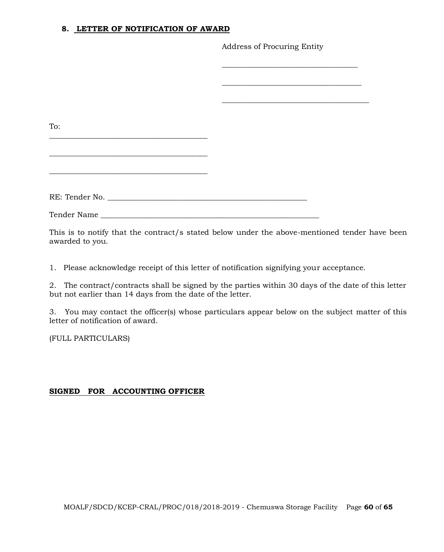### **8. LETTER OF NOTIFICATION OF AWARD**

Address of Procuring Entity

| To: |  |
|-----|--|
|     |  |
|     |  |
|     |  |
|     |  |
|     |  |
|     |  |
|     |  |
|     |  |

This is to notify that the contract/s stated below under the above-mentioned tender have been awarded to you.

1. Please acknowledge receipt of this letter of notification signifying your acceptance.

2. The contract/contracts shall be signed by the parties within 30 days of the date of this letter but not earlier than 14 days from the date of the letter.

3. You may contact the officer(s) whose particulars appear below on the subject matter of this letter of notification of award.

(FULL PARTICULARS)

# **SIGNED FOR ACCOUNTING OFFICER**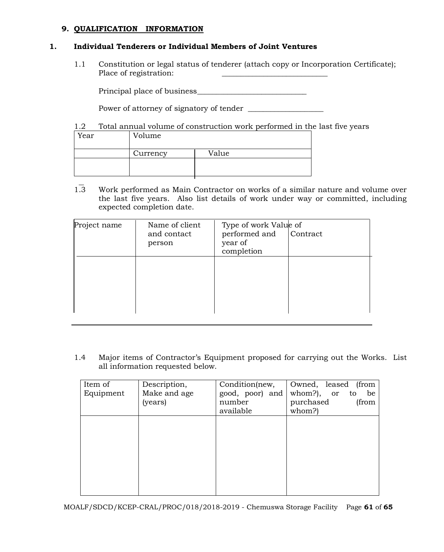# **9. QUALIFICATION INFORMATION**

### **1. Individual Tenderers or Individual Members of Joint Ventures**

1.1 Constitution or legal status of tenderer (attach copy or Incorporation Certificate); Place of registration:

Principal place of business\_\_\_\_\_\_\_\_\_\_\_\_\_\_\_\_\_\_\_\_\_\_\_\_\_\_\_\_\_

Power of attorney of signatory of tender \_\_\_\_\_\_\_\_\_\_\_\_\_\_\_\_\_\_\_\_

1.2 Total annual volume of construction work performed in the last five years

| Year | Volume   |       |
|------|----------|-------|
|      | Currency | Value |
|      |          |       |

1.3 Work performed as Main Contractor on works of a similar nature and volume over the last five years. Also list details of work under way or committed, including expected completion date.

| Project name | Name of client<br>and contact<br>person | Type of work Value of<br>performed and<br>year of<br>completion | Contract |
|--------------|-----------------------------------------|-----------------------------------------------------------------|----------|
|              |                                         |                                                                 |          |

1.4 Major items of Contractor's Equipment proposed for carrying out the Works. List all information requested below.

| Description, | Condition(new,  | Owned, leased<br>(from    |
|--------------|-----------------|---------------------------|
| Make and age | good, poor) and | whom?),<br>be<br>or<br>to |
| (years)      | number          | purchased<br>(from        |
|              | available       | whom?)                    |
|              |                 |                           |
|              |                 |                           |
|              |                 |                           |
|              |                 |                           |
|              |                 |                           |
|              |                 |                           |
|              |                 |                           |
|              |                 |                           |
|              |                 |                           |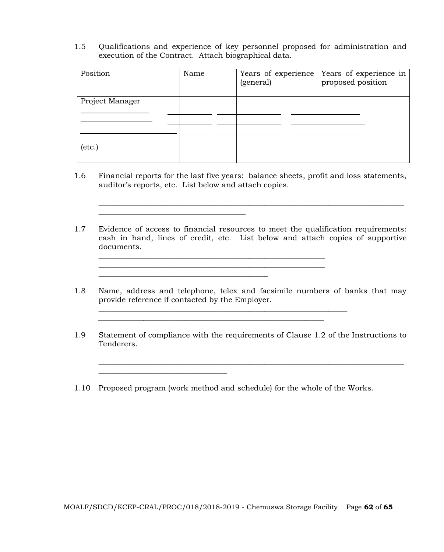1.5 Qualifications and experience of key personnel proposed for administration and execution of the Contract. Attach biographical data.

| Position        | Name | Years of experience<br>(general) | Years of experience in<br>proposed position |
|-----------------|------|----------------------------------|---------------------------------------------|
| Project Manager |      |                                  |                                             |
|                 |      |                                  |                                             |
|                 |      |                                  |                                             |
| $(\text{etc.})$ |      |                                  |                                             |

1.6 Financial reports for the last five years: balance sheets, profit and loss statements, auditor's reports, etc. List below and attach copies.

\_\_\_\_\_\_\_\_\_\_\_\_\_\_\_\_\_\_\_\_\_\_\_\_\_\_\_\_\_\_\_\_\_\_\_\_\_\_\_\_\_\_\_\_\_\_\_\_\_\_\_\_\_\_\_\_\_\_\_\_\_\_\_\_\_\_\_\_\_\_\_\_\_\_\_\_\_\_\_\_\_

1.7 Evidence of access to financial resources to meet the qualification requirements: cash in hand, lines of credit, etc. List below and attach copies of supportive documents.

\_\_\_\_\_\_\_\_\_\_\_\_\_\_\_\_\_\_\_\_\_\_\_\_\_\_\_\_\_\_\_\_\_\_\_\_\_\_\_\_\_\_\_\_\_\_\_\_\_\_\_\_\_\_\_\_\_\_\_\_

\_\_\_\_\_\_\_\_\_\_\_\_\_\_\_\_\_\_\_\_\_\_\_\_\_\_\_\_\_\_\_\_\_\_\_\_\_\_\_

\_\_\_\_\_\_\_\_\_\_\_\_\_\_\_\_\_\_\_\_\_\_\_\_\_\_\_\_\_\_\_\_\_\_\_\_\_\_\_\_\_\_\_\_\_

\_\_\_\_\_\_\_\_\_\_\_\_\_\_\_\_\_\_\_\_\_\_\_\_\_\_\_\_\_\_\_\_\_\_

1.8 Name, address and telephone, telex and facsimile numbers of banks that may provide reference if contacted by the Employer.

\_\_\_\_\_\_\_\_\_\_\_\_\_\_\_\_\_\_\_\_\_\_\_\_\_\_\_\_\_\_\_\_\_\_\_\_\_\_\_\_\_\_\_\_\_\_\_\_\_\_\_\_\_\_\_\_\_\_\_\_\_\_\_\_\_\_

\_\_\_\_\_\_\_\_\_\_\_\_\_\_\_\_\_\_\_\_\_\_\_\_\_\_\_\_\_\_\_\_\_\_\_\_\_\_\_\_\_\_\_\_\_\_\_\_\_\_\_\_\_\_\_\_\_\_\_\_\_\_\_\_\_\_\_\_\_\_\_\_\_\_\_\_\_\_\_\_\_

- 1.9 Statement of compliance with the requirements of Clause 1.2 of the Instructions to Tenderers.
- 1.10 Proposed program (work method and schedule) for the whole of the Works.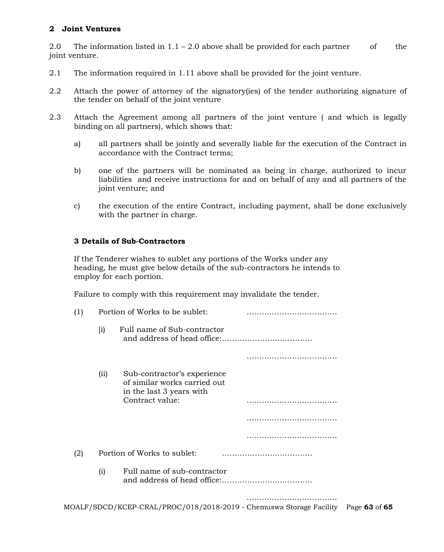## **2 Joint Ventures**

2.0 The information listed in  $1.1 - 2.0$  above shall be provided for each partner of the joint venture.

- 2.1 The information required in 1.11 above shall be provided for the joint venture.
- 2.2 Attach the power of attorney of the signatory(ies) of the tender authorizing signature of the tender on behalf of the joint venture
- 2.3 Attach the Agreement among all partners of the joint venture ( and which is legally binding on all partners), which shows that:
	- a) all partners shall be jointly and severally liable for the execution of the Contract in accordance with the Contract terms;
	- b) one of the partners will be nominated as being in charge, authorized to incur liabilities and receive instructions for and on behalf of any and all partners of the joint venture; and
	- c) the execution of the entire Contract, including payment, shall be done exclusively with the partner in charge.

### **3 Details of Sub-Contractors**

If the Tenderer wishes to sublet any portions of the Works under any heading, he must give below details of the sub-contractors he intends to employ for each portion.

Failure to comply with this requirement may invalidate the tender.

| (1) |                    | Portion of Works to be sublet:                                                                             |               |
|-----|--------------------|------------------------------------------------------------------------------------------------------------|---------------|
|     | $\left[ i \right)$ | Full name of Sub-contractor                                                                                |               |
|     |                    |                                                                                                            |               |
|     | (iii)              | Sub-contractor's experience<br>of similar works carried out<br>in the last 3 years with<br>Contract value: |               |
|     |                    |                                                                                                            |               |
|     |                    |                                                                                                            |               |
| (2) |                    | Portion of Works to sublet:                                                                                |               |
|     | (i)                | Full name of sub-contractor                                                                                |               |
|     |                    | MOALF/SDCD/KCEP-CRAL/PROC/018/2018-2019 - Chemuswa Storage Facility                                        | Page 63 of 65 |
|     |                    |                                                                                                            |               |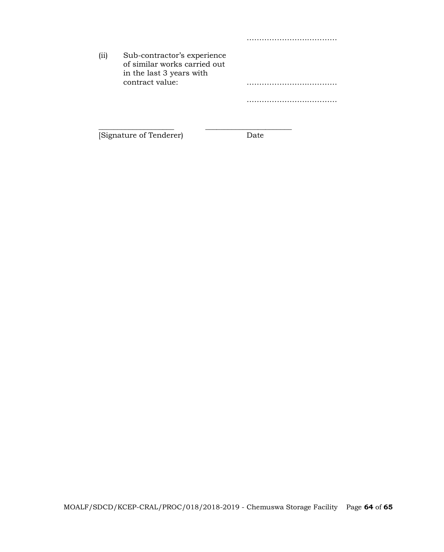| (iii) | Sub-contractor's experience<br>of similar works carried out<br>in the last 3 years with |  |
|-------|-----------------------------------------------------------------------------------------|--|
|       | contract value:                                                                         |  |
|       |                                                                                         |  |

\_\_\_\_\_\_\_\_\_\_\_\_\_\_\_\_\_\_\_\_ \_\_\_\_\_\_\_\_\_\_\_\_\_\_\_\_\_\_\_\_\_\_\_

[Signature of Tenderer) Date

……………………………………